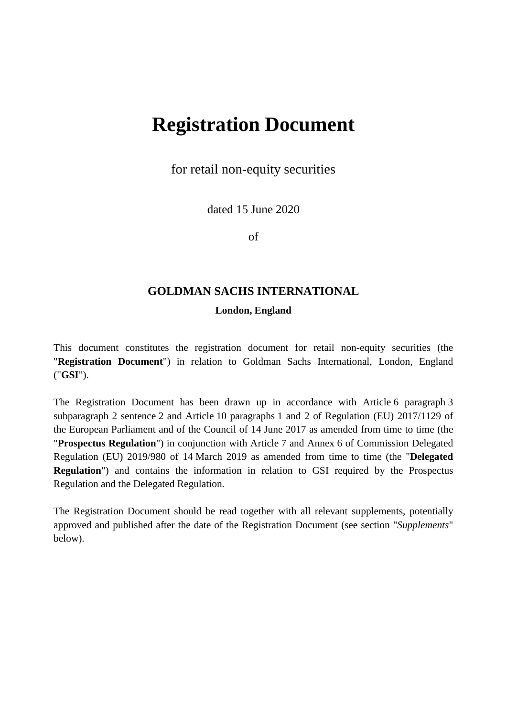# **Registration Document**

for retail non-equity securities

dated 15 June 2020

of

# **GOLDMAN SACHS INTERNATIONAL**

#### **London, England**

This document constitutes the registration document for retail non-equity securities (the "**Registration Document**") in relation to Goldman Sachs International, London, England ("**GSI**").

The Registration Document has been drawn up in accordance with Article 6 paragraph 3 subparagraph 2 sentence 2 and Article 10 paragraphs 1 and 2 of Regulation (EU) 2017/1129 of the European Parliament and of the Council of 14 June 2017 as amended from time to time (the "**Prospectus Regulation**") in conjunction with Article 7 and Annex 6 of Commission Delegated Regulation (EU) 2019/980 of 14 March 2019 as amended from time to time (the "**Delegated Regulation**") and contains the information in relation to GSI required by the Prospectus Regulation and the Delegated Regulation.

The Registration Document should be read together with all relevant supplements, potentially approved and published after the date of the Registration Document (see section "*Supplements*" below).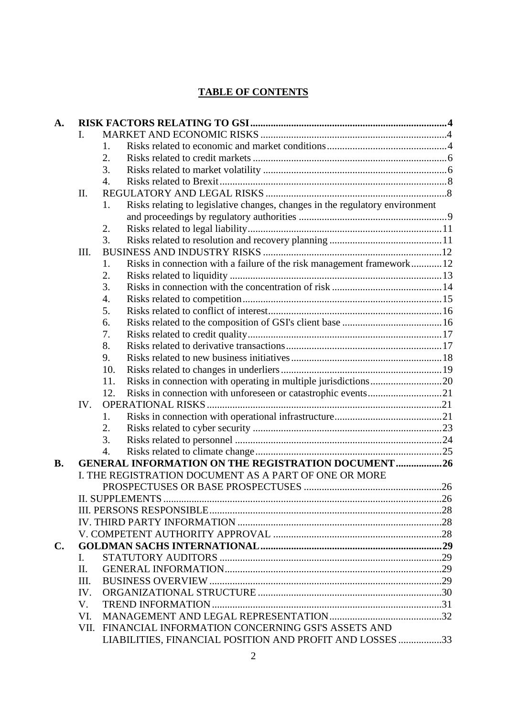# **TABLE OF CONTENTS**

| A.        |             |                                                                                    |  |  |  |
|-----------|-------------|------------------------------------------------------------------------------------|--|--|--|
|           | L.          |                                                                                    |  |  |  |
|           |             | 1.                                                                                 |  |  |  |
|           |             | 2.                                                                                 |  |  |  |
|           |             | 3.                                                                                 |  |  |  |
|           |             | $\overline{4}$ .                                                                   |  |  |  |
|           | II.         |                                                                                    |  |  |  |
|           |             | Risks relating to legislative changes, changes in the regulatory environment<br>1. |  |  |  |
|           |             |                                                                                    |  |  |  |
|           |             | 2.                                                                                 |  |  |  |
|           |             | 3.                                                                                 |  |  |  |
|           | III.        |                                                                                    |  |  |  |
|           |             | Risks in connection with a failure of the risk management framework12<br>1.        |  |  |  |
|           |             | 2.                                                                                 |  |  |  |
|           |             | 3.                                                                                 |  |  |  |
|           |             | 4.                                                                                 |  |  |  |
|           |             | 5.                                                                                 |  |  |  |
|           |             | 6.                                                                                 |  |  |  |
|           |             | 7.                                                                                 |  |  |  |
|           |             | 8.                                                                                 |  |  |  |
|           |             | 9.                                                                                 |  |  |  |
|           |             | 10.                                                                                |  |  |  |
|           |             | 11.                                                                                |  |  |  |
|           |             | 12.                                                                                |  |  |  |
|           | IV.         |                                                                                    |  |  |  |
|           |             | 1.                                                                                 |  |  |  |
|           |             | 2.                                                                                 |  |  |  |
|           |             | 3.                                                                                 |  |  |  |
|           |             | 4.                                                                                 |  |  |  |
| <b>B.</b> |             | <b>GENERAL INFORMATION ON THE REGISTRATION DOCUMENT 26</b>                         |  |  |  |
|           |             | I. THE REGISTRATION DOCUMENT AS A PART OF ONE OR MORE                              |  |  |  |
|           |             |                                                                                    |  |  |  |
|           |             |                                                                                    |  |  |  |
|           |             |                                                                                    |  |  |  |
|           |             |                                                                                    |  |  |  |
|           |             |                                                                                    |  |  |  |
| C.        |             |                                                                                    |  |  |  |
|           | L.          |                                                                                    |  |  |  |
|           | II.         |                                                                                    |  |  |  |
|           | Ш.          |                                                                                    |  |  |  |
|           | IV.         |                                                                                    |  |  |  |
|           | $V_{\cdot}$ |                                                                                    |  |  |  |
|           | VI.         |                                                                                    |  |  |  |
|           |             | VII. FINANCIAL INFORMATION CONCERNING GSI'S ASSETS AND                             |  |  |  |
|           |             | LIABILITIES, FINANCIAL POSITION AND PROFIT AND LOSSES 33                           |  |  |  |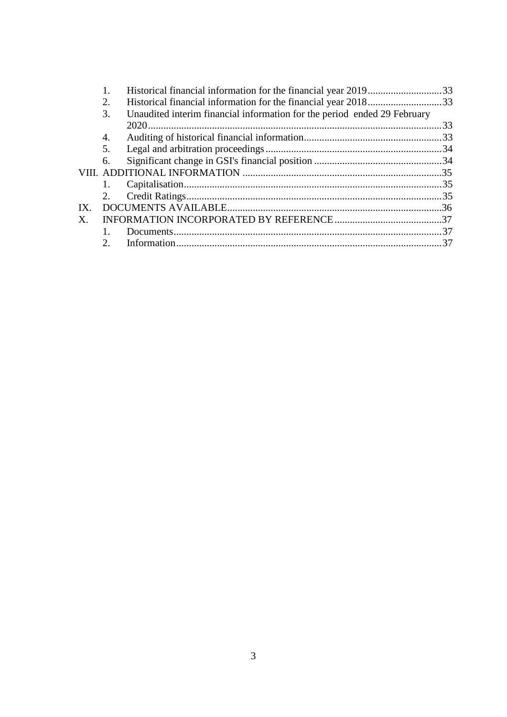|     |               | Historical financial information for the financial year 201933           |     |
|-----|---------------|--------------------------------------------------------------------------|-----|
|     | 2.            | Historical financial information for the financial year 201833           |     |
|     | 3.            | Unaudited interim financial information for the period ended 29 February |     |
|     |               |                                                                          | .33 |
|     | 4.            |                                                                          |     |
|     | 5.            |                                                                          |     |
|     | 6.            |                                                                          |     |
|     |               |                                                                          |     |
|     |               |                                                                          |     |
|     | 2.            |                                                                          |     |
| IX. |               |                                                                          |     |
| X.  |               |                                                                          |     |
|     |               |                                                                          |     |
|     | $\mathcal{D}$ |                                                                          |     |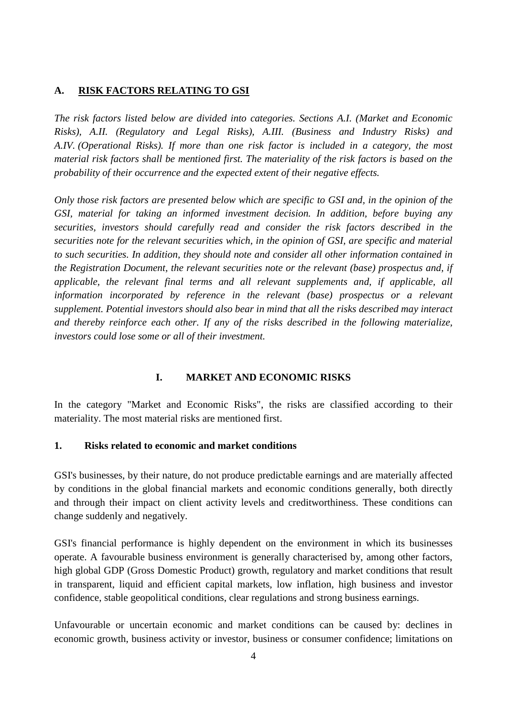#### <span id="page-3-0"></span>**A. RISK FACTORS RELATING TO GSI**

*The risk factors listed below are divided into categories. Sections A.I. (Market and Economic Risks), A.II. (Regulatory and Legal Risks), A.III. (Business and Industry Risks) and A.IV. (Operational Risks). If more than one risk factor is included in a category, the most material risk factors shall be mentioned first. The materiality of the risk factors is based on the probability of their occurrence and the expected extent of their negative effects.* 

*Only those risk factors are presented below which are specific to GSI and, in the opinion of the GSI, material for taking an informed investment decision. In addition, before buying any securities, investors should carefully read and consider the risk factors described in the securities note for the relevant securities which, in the opinion of GSI, are specific and material to such securities. In addition, they should note and consider all other information contained in the Registration Document, the relevant securities note or the relevant (base) prospectus and, if applicable, the relevant final terms and all relevant supplements and, if applicable, all information incorporated by reference in the relevant (base) prospectus or a relevant supplement. Potential investors should also bear in mind that all the risks described may interact and thereby reinforce each other. If any of the risks described in the following materialize, investors could lose some or all of their investment.* 

## <span id="page-3-1"></span>**I. MARKET AND ECONOMIC RISKS**

In the category "Market and Economic Risks", the risks are classified according to their materiality. The most material risks are mentioned first.

## <span id="page-3-2"></span>**1. Risks related to economic and market conditions**

GSI's businesses, by their nature, do not produce predictable earnings and are materially affected by conditions in the global financial markets and economic conditions generally, both directly and through their impact on client activity levels and creditworthiness. These conditions can change suddenly and negatively.

GSI's financial performance is highly dependent on the environment in which its businesses operate. A favourable business environment is generally characterised by, among other factors, high global GDP (Gross Domestic Product) growth, regulatory and market conditions that result in transparent, liquid and efficient capital markets, low inflation, high business and investor confidence, stable geopolitical conditions, clear regulations and strong business earnings.

Unfavourable or uncertain economic and market conditions can be caused by: declines in economic growth, business activity or investor, business or consumer confidence; limitations on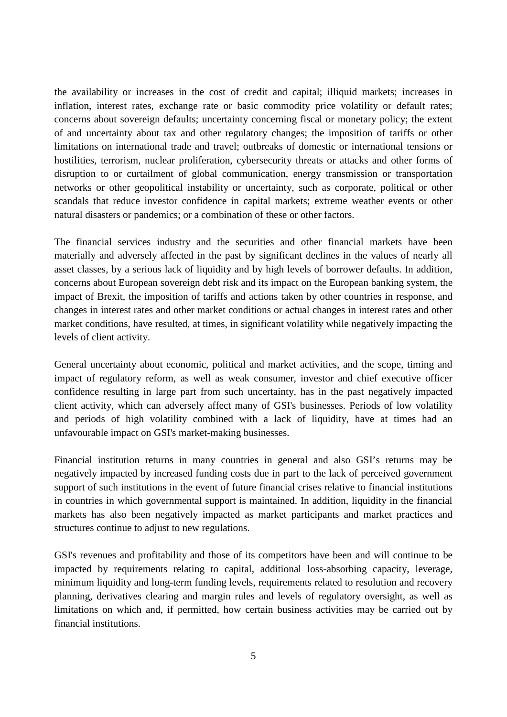the availability or increases in the cost of credit and capital; illiquid markets; increases in inflation, interest rates, exchange rate or basic commodity price volatility or default rates; concerns about sovereign defaults; uncertainty concerning fiscal or monetary policy; the extent of and uncertainty about tax and other regulatory changes; the imposition of tariffs or other limitations on international trade and travel; outbreaks of domestic or international tensions or hostilities, terrorism, nuclear proliferation, cybersecurity threats or attacks and other forms of disruption to or curtailment of global communication, energy transmission or transportation networks or other geopolitical instability or uncertainty, such as corporate, political or other scandals that reduce investor confidence in capital markets; extreme weather events or other natural disasters or pandemics; or a combination of these or other factors.

The financial services industry and the securities and other financial markets have been materially and adversely affected in the past by significant declines in the values of nearly all asset classes, by a serious lack of liquidity and by high levels of borrower defaults. In addition, concerns about European sovereign debt risk and its impact on the European banking system, the impact of Brexit, the imposition of tariffs and actions taken by other countries in response, and changes in interest rates and other market conditions or actual changes in interest rates and other market conditions, have resulted, at times, in significant volatility while negatively impacting the levels of client activity.

General uncertainty about economic, political and market activities, and the scope, timing and impact of regulatory reform, as well as weak consumer, investor and chief executive officer confidence resulting in large part from such uncertainty, has in the past negatively impacted client activity, which can adversely affect many of GSI's businesses. Periods of low volatility and periods of high volatility combined with a lack of liquidity, have at times had an unfavourable impact on GSI's market-making businesses.

Financial institution returns in many countries in general and also GSI's returns may be negatively impacted by increased funding costs due in part to the lack of perceived government support of such institutions in the event of future financial crises relative to financial institutions in countries in which governmental support is maintained. In addition, liquidity in the financial markets has also been negatively impacted as market participants and market practices and structures continue to adjust to new regulations.

GSI's revenues and profitability and those of its competitors have been and will continue to be impacted by requirements relating to capital, additional loss-absorbing capacity, leverage, minimum liquidity and long-term funding levels, requirements related to resolution and recovery planning, derivatives clearing and margin rules and levels of regulatory oversight, as well as limitations on which and, if permitted, how certain business activities may be carried out by financial institutions.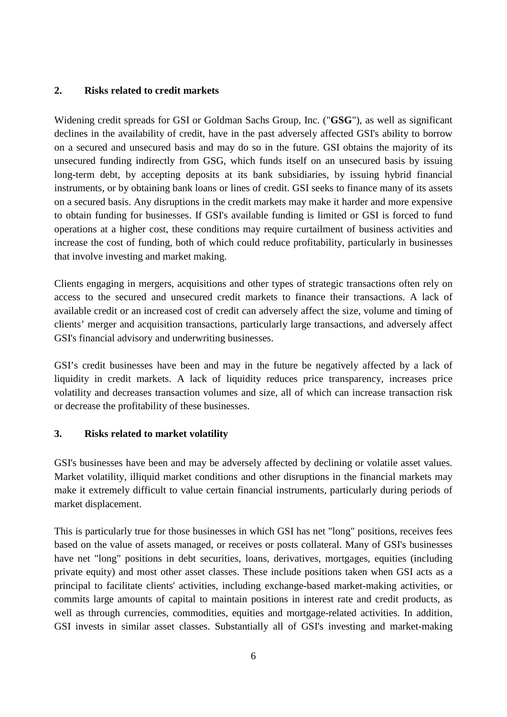## <span id="page-5-0"></span>**2. Risks related to credit markets**

Widening credit spreads for GSI or Goldman Sachs Group, Inc. ("**GSG**"), as well as significant declines in the availability of credit, have in the past adversely affected GSI's ability to borrow on a secured and unsecured basis and may do so in the future. GSI obtains the majority of its unsecured funding indirectly from GSG, which funds itself on an unsecured basis by issuing long-term debt, by accepting deposits at its bank subsidiaries, by issuing hybrid financial instruments, or by obtaining bank loans or lines of credit. GSI seeks to finance many of its assets on a secured basis. Any disruptions in the credit markets may make it harder and more expensive to obtain funding for businesses. If GSI's available funding is limited or GSI is forced to fund operations at a higher cost, these conditions may require curtailment of business activities and increase the cost of funding, both of which could reduce profitability, particularly in businesses that involve investing and market making.

Clients engaging in mergers, acquisitions and other types of strategic transactions often rely on access to the secured and unsecured credit markets to finance their transactions. A lack of available credit or an increased cost of credit can adversely affect the size, volume and timing of clients' merger and acquisition transactions, particularly large transactions, and adversely affect GSI's financial advisory and underwriting businesses.

GSI's credit businesses have been and may in the future be negatively affected by a lack of liquidity in credit markets. A lack of liquidity reduces price transparency, increases price volatility and decreases transaction volumes and size, all of which can increase transaction risk or decrease the profitability of these businesses.

# <span id="page-5-1"></span>**3. Risks related to market volatility**

GSI's businesses have been and may be adversely affected by declining or volatile asset values. Market volatility, illiquid market conditions and other disruptions in the financial markets may make it extremely difficult to value certain financial instruments, particularly during periods of market displacement.

This is particularly true for those businesses in which GSI has net "long" positions, receives fees based on the value of assets managed, or receives or posts collateral. Many of GSI's businesses have net "long" positions in debt securities, loans, derivatives, mortgages, equities (including private equity) and most other asset classes. These include positions taken when GSI acts as a principal to facilitate clients' activities, including exchange-based market-making activities, or commits large amounts of capital to maintain positions in interest rate and credit products, as well as through currencies, commodities, equities and mortgage-related activities. In addition, GSI invests in similar asset classes. Substantially all of GSI's investing and market-making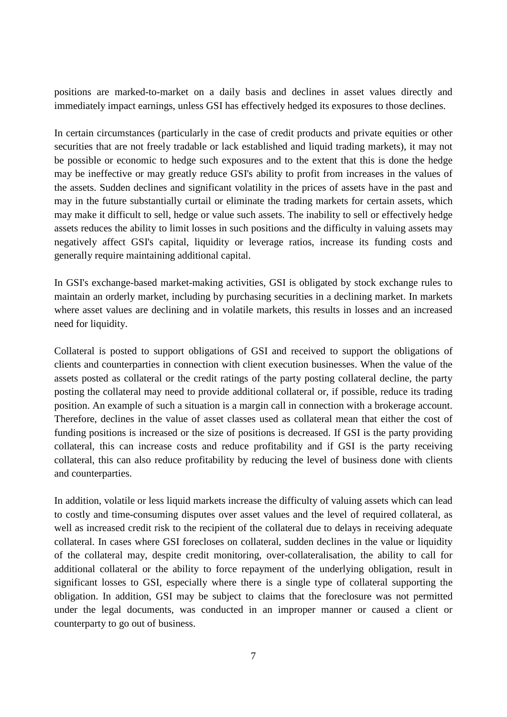positions are marked-to-market on a daily basis and declines in asset values directly and immediately impact earnings, unless GSI has effectively hedged its exposures to those declines.

In certain circumstances (particularly in the case of credit products and private equities or other securities that are not freely tradable or lack established and liquid trading markets), it may not be possible or economic to hedge such exposures and to the extent that this is done the hedge may be ineffective or may greatly reduce GSI's ability to profit from increases in the values of the assets. Sudden declines and significant volatility in the prices of assets have in the past and may in the future substantially curtail or eliminate the trading markets for certain assets, which may make it difficult to sell, hedge or value such assets. The inability to sell or effectively hedge assets reduces the ability to limit losses in such positions and the difficulty in valuing assets may negatively affect GSI's capital, liquidity or leverage ratios, increase its funding costs and generally require maintaining additional capital.

In GSI's exchange-based market-making activities, GSI is obligated by stock exchange rules to maintain an orderly market, including by purchasing securities in a declining market. In markets where asset values are declining and in volatile markets, this results in losses and an increased need for liquidity.

Collateral is posted to support obligations of GSI and received to support the obligations of clients and counterparties in connection with client execution businesses. When the value of the assets posted as collateral or the credit ratings of the party posting collateral decline, the party posting the collateral may need to provide additional collateral or, if possible, reduce its trading position. An example of such a situation is a margin call in connection with a brokerage account. Therefore, declines in the value of asset classes used as collateral mean that either the cost of funding positions is increased or the size of positions is decreased. If GSI is the party providing collateral, this can increase costs and reduce profitability and if GSI is the party receiving collateral, this can also reduce profitability by reducing the level of business done with clients and counterparties.

In addition, volatile or less liquid markets increase the difficulty of valuing assets which can lead to costly and time-consuming disputes over asset values and the level of required collateral, as well as increased credit risk to the recipient of the collateral due to delays in receiving adequate collateral. In cases where GSI forecloses on collateral, sudden declines in the value or liquidity of the collateral may, despite credit monitoring, over-collateralisation, the ability to call for additional collateral or the ability to force repayment of the underlying obligation, result in significant losses to GSI, especially where there is a single type of collateral supporting the obligation. In addition, GSI may be subject to claims that the foreclosure was not permitted under the legal documents, was conducted in an improper manner or caused a client or counterparty to go out of business.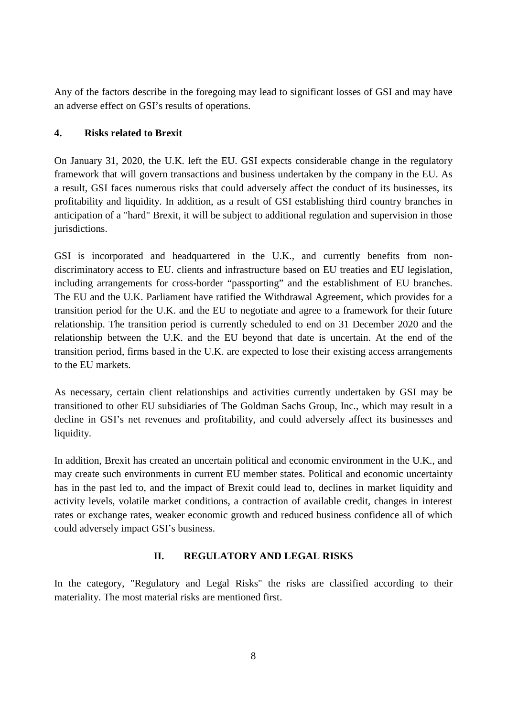Any of the factors describe in the foregoing may lead to significant losses of GSI and may have an adverse effect on GSI's results of operations.

# <span id="page-7-0"></span>**4. Risks related to Brexit**

On January 31, 2020, the U.K. left the EU. GSI expects considerable change in the regulatory framework that will govern transactions and business undertaken by the company in the EU. As a result, GSI faces numerous risks that could adversely affect the conduct of its businesses, its profitability and liquidity. In addition, as a result of GSI establishing third country branches in anticipation of a "hard" Brexit, it will be subject to additional regulation and supervision in those jurisdictions.

GSI is incorporated and headquartered in the U.K., and currently benefits from nondiscriminatory access to EU. clients and infrastructure based on EU treaties and EU legislation, including arrangements for cross-border "passporting" and the establishment of EU branches. The EU and the U.K. Parliament have ratified the Withdrawal Agreement, which provides for a transition period for the U.K. and the EU to negotiate and agree to a framework for their future relationship. The transition period is currently scheduled to end on 31 December 2020 and the relationship between the U.K. and the EU beyond that date is uncertain. At the end of the transition period, firms based in the U.K. are expected to lose their existing access arrangements to the EU markets.

As necessary, certain client relationships and activities currently undertaken by GSI may be transitioned to other EU subsidiaries of The Goldman Sachs Group, Inc., which may result in a decline in GSI's net revenues and profitability, and could adversely affect its businesses and liquidity.

In addition, Brexit has created an uncertain political and economic environment in the U.K., and may create such environments in current EU member states. Political and economic uncertainty has in the past led to, and the impact of Brexit could lead to, declines in market liquidity and activity levels, volatile market conditions, a contraction of available credit, changes in interest rates or exchange rates, weaker economic growth and reduced business confidence all of which could adversely impact GSI's business.

# <span id="page-7-1"></span>**II. REGULATORY AND LEGAL RISKS**

In the category, "Regulatory and Legal Risks" the risks are classified according to their materiality. The most material risks are mentioned first.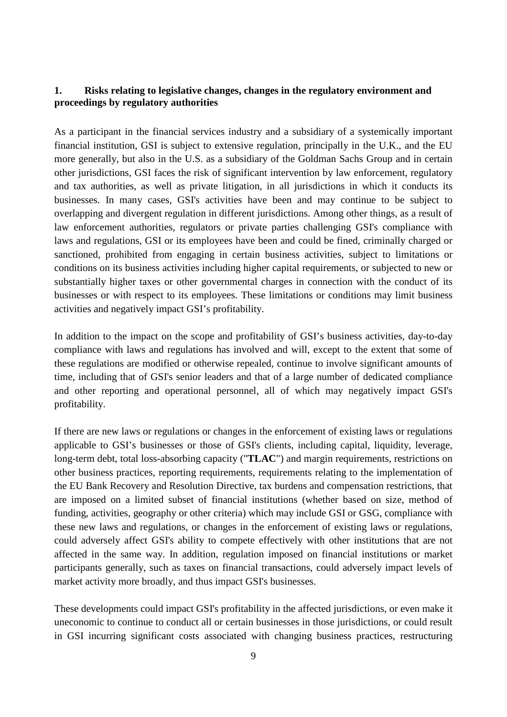## <span id="page-8-0"></span>**1. Risks relating to legislative changes, changes in the regulatory environment and proceedings by regulatory authorities**

As a participant in the financial services industry and a subsidiary of a systemically important financial institution, GSI is subject to extensive regulation, principally in the U.K., and the EU more generally, but also in the U.S. as a subsidiary of the Goldman Sachs Group and in certain other jurisdictions, GSI faces the risk of significant intervention by law enforcement, regulatory and tax authorities, as well as private litigation, in all jurisdictions in which it conducts its businesses. In many cases, GSI's activities have been and may continue to be subject to overlapping and divergent regulation in different jurisdictions. Among other things, as a result of law enforcement authorities, regulators or private parties challenging GSI's compliance with laws and regulations, GSI or its employees have been and could be fined, criminally charged or sanctioned, prohibited from engaging in certain business activities, subject to limitations or conditions on its business activities including higher capital requirements, or subjected to new or substantially higher taxes or other governmental charges in connection with the conduct of its businesses or with respect to its employees. These limitations or conditions may limit business activities and negatively impact GSI's profitability.

In addition to the impact on the scope and profitability of GSI's business activities, day-to-day compliance with laws and regulations has involved and will, except to the extent that some of these regulations are modified or otherwise repealed, continue to involve significant amounts of time, including that of GSI's senior leaders and that of a large number of dedicated compliance and other reporting and operational personnel, all of which may negatively impact GSI's profitability.

If there are new laws or regulations or changes in the enforcement of existing laws or regulations applicable to GSI's businesses or those of GSI's clients, including capital, liquidity, leverage, long-term debt, total loss-absorbing capacity ("**TLAC**") and margin requirements, restrictions on other business practices, reporting requirements, requirements relating to the implementation of the EU Bank Recovery and Resolution Directive, tax burdens and compensation restrictions, that are imposed on a limited subset of financial institutions (whether based on size, method of funding, activities, geography or other criteria) which may include GSI or GSG, compliance with these new laws and regulations, or changes in the enforcement of existing laws or regulations, could adversely affect GSI's ability to compete effectively with other institutions that are not affected in the same way. In addition, regulation imposed on financial institutions or market participants generally, such as taxes on financial transactions, could adversely impact levels of market activity more broadly, and thus impact GSI's businesses.

These developments could impact GSI's profitability in the affected jurisdictions, or even make it uneconomic to continue to conduct all or certain businesses in those jurisdictions, or could result in GSI incurring significant costs associated with changing business practices, restructuring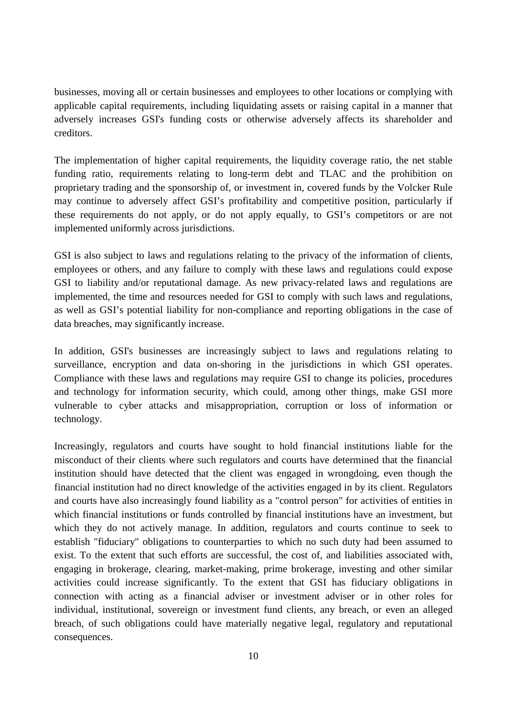businesses, moving all or certain businesses and employees to other locations or complying with applicable capital requirements, including liquidating assets or raising capital in a manner that adversely increases GSI's funding costs or otherwise adversely affects its shareholder and creditors.

The implementation of higher capital requirements, the liquidity coverage ratio, the net stable funding ratio, requirements relating to long-term debt and TLAC and the prohibition on proprietary trading and the sponsorship of, or investment in, covered funds by the Volcker Rule may continue to adversely affect GSI's profitability and competitive position, particularly if these requirements do not apply, or do not apply equally, to GSI's competitors or are not implemented uniformly across jurisdictions.

GSI is also subject to laws and regulations relating to the privacy of the information of clients, employees or others, and any failure to comply with these laws and regulations could expose GSI to liability and/or reputational damage. As new privacy-related laws and regulations are implemented, the time and resources needed for GSI to comply with such laws and regulations, as well as GSI's potential liability for non-compliance and reporting obligations in the case of data breaches, may significantly increase.

In addition, GSI's businesses are increasingly subject to laws and regulations relating to surveillance, encryption and data on-shoring in the jurisdictions in which GSI operates. Compliance with these laws and regulations may require GSI to change its policies, procedures and technology for information security, which could, among other things, make GSI more vulnerable to cyber attacks and misappropriation, corruption or loss of information or technology.

Increasingly, regulators and courts have sought to hold financial institutions liable for the misconduct of their clients where such regulators and courts have determined that the financial institution should have detected that the client was engaged in wrongdoing, even though the financial institution had no direct knowledge of the activities engaged in by its client. Regulators and courts have also increasingly found liability as a "control person" for activities of entities in which financial institutions or funds controlled by financial institutions have an investment, but which they do not actively manage. In addition, regulators and courts continue to seek to establish "fiduciary" obligations to counterparties to which no such duty had been assumed to exist. To the extent that such efforts are successful, the cost of, and liabilities associated with, engaging in brokerage, clearing, market-making, prime brokerage, investing and other similar activities could increase significantly. To the extent that GSI has fiduciary obligations in connection with acting as a financial adviser or investment adviser or in other roles for individual, institutional, sovereign or investment fund clients, any breach, or even an alleged breach, of such obligations could have materially negative legal, regulatory and reputational consequences.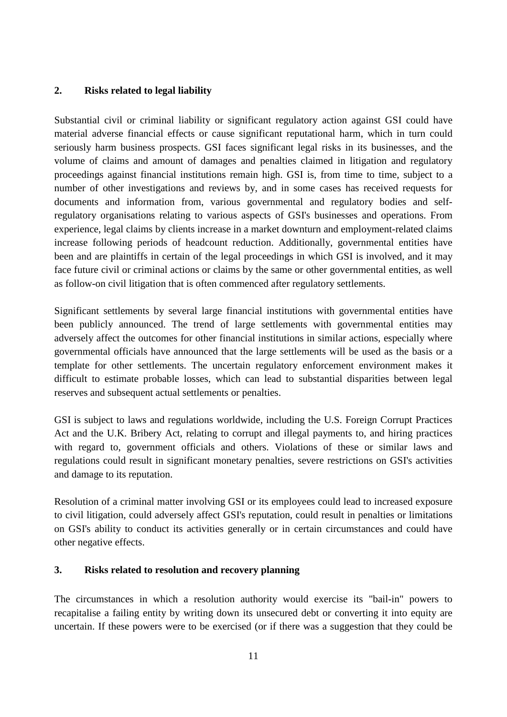## <span id="page-10-0"></span>**2. Risks related to legal liability**

Substantial civil or criminal liability or significant regulatory action against GSI could have material adverse financial effects or cause significant reputational harm, which in turn could seriously harm business prospects. GSI faces significant legal risks in its businesses, and the volume of claims and amount of damages and penalties claimed in litigation and regulatory proceedings against financial institutions remain high. GSI is, from time to time, subject to a number of other investigations and reviews by, and in some cases has received requests for documents and information from, various governmental and regulatory bodies and selfregulatory organisations relating to various aspects of GSI's businesses and operations. From experience, legal claims by clients increase in a market downturn and employment-related claims increase following periods of headcount reduction. Additionally, governmental entities have been and are plaintiffs in certain of the legal proceedings in which GSI is involved, and it may face future civil or criminal actions or claims by the same or other governmental entities, as well as follow-on civil litigation that is often commenced after regulatory settlements.

Significant settlements by several large financial institutions with governmental entities have been publicly announced. The trend of large settlements with governmental entities may adversely affect the outcomes for other financial institutions in similar actions, especially where governmental officials have announced that the large settlements will be used as the basis or a template for other settlements. The uncertain regulatory enforcement environment makes it difficult to estimate probable losses, which can lead to substantial disparities between legal reserves and subsequent actual settlements or penalties.

GSI is subject to laws and regulations worldwide, including the U.S. Foreign Corrupt Practices Act and the U.K. Bribery Act, relating to corrupt and illegal payments to, and hiring practices with regard to, government officials and others. Violations of these or similar laws and regulations could result in significant monetary penalties, severe restrictions on GSI's activities and damage to its reputation.

Resolution of a criminal matter involving GSI or its employees could lead to increased exposure to civil litigation, could adversely affect GSI's reputation, could result in penalties or limitations on GSI's ability to conduct its activities generally or in certain circumstances and could have other negative effects.

# <span id="page-10-1"></span>**3. Risks related to resolution and recovery planning**

The circumstances in which a resolution authority would exercise its "bail-in" powers to recapitalise a failing entity by writing down its unsecured debt or converting it into equity are uncertain. If these powers were to be exercised (or if there was a suggestion that they could be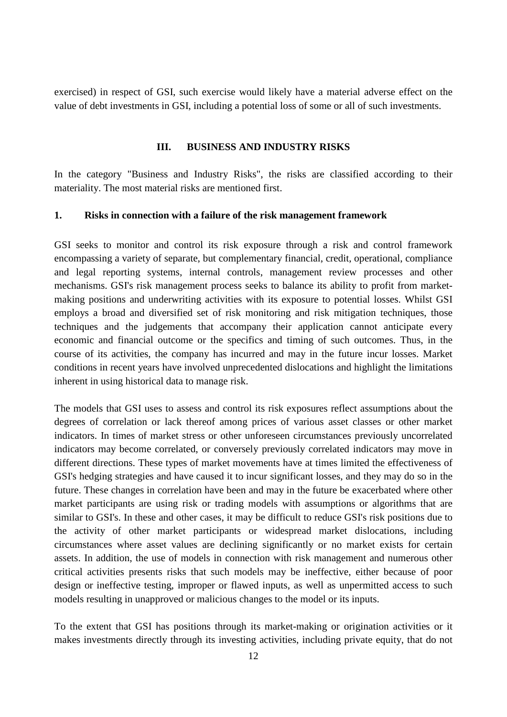exercised) in respect of GSI, such exercise would likely have a material adverse effect on the value of debt investments in GSI, including a potential loss of some or all of such investments.

#### <span id="page-11-0"></span>**III. BUSINESS AND INDUSTRY RISKS**

In the category "Business and Industry Risks", the risks are classified according to their materiality. The most material risks are mentioned first.

#### <span id="page-11-1"></span>**1. Risks in connection with a failure of the risk management framework**

GSI seeks to monitor and control its risk exposure through a risk and control framework encompassing a variety of separate, but complementary financial, credit, operational, compliance and legal reporting systems, internal controls, management review processes and other mechanisms. GSI's risk management process seeks to balance its ability to profit from marketmaking positions and underwriting activities with its exposure to potential losses. Whilst GSI employs a broad and diversified set of risk monitoring and risk mitigation techniques, those techniques and the judgements that accompany their application cannot anticipate every economic and financial outcome or the specifics and timing of such outcomes. Thus, in the course of its activities, the company has incurred and may in the future incur losses. Market conditions in recent years have involved unprecedented dislocations and highlight the limitations inherent in using historical data to manage risk.

The models that GSI uses to assess and control its risk exposures reflect assumptions about the degrees of correlation or lack thereof among prices of various asset classes or other market indicators. In times of market stress or other unforeseen circumstances previously uncorrelated indicators may become correlated, or conversely previously correlated indicators may move in different directions. These types of market movements have at times limited the effectiveness of GSI's hedging strategies and have caused it to incur significant losses, and they may do so in the future. These changes in correlation have been and may in the future be exacerbated where other market participants are using risk or trading models with assumptions or algorithms that are similar to GSI's. In these and other cases, it may be difficult to reduce GSI's risk positions due to the activity of other market participants or widespread market dislocations, including circumstances where asset values are declining significantly or no market exists for certain assets. In addition, the use of models in connection with risk management and numerous other critical activities presents risks that such models may be ineffective, either because of poor design or ineffective testing, improper or flawed inputs, as well as unpermitted access to such models resulting in unapproved or malicious changes to the model or its inputs.

To the extent that GSI has positions through its market-making or origination activities or it makes investments directly through its investing activities, including private equity, that do not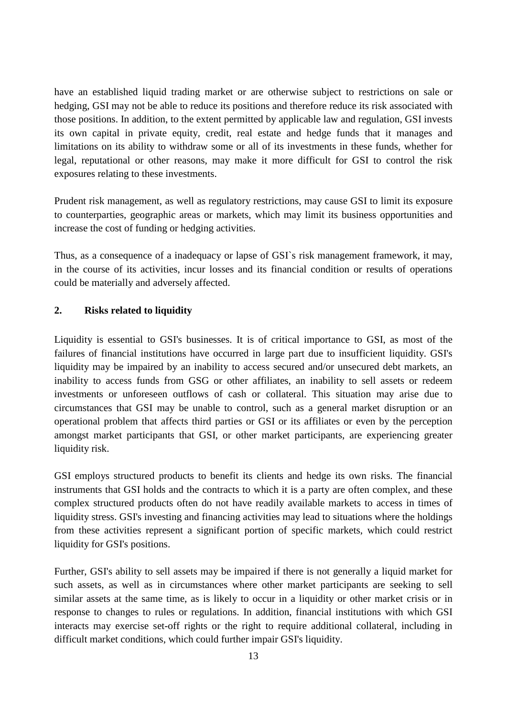have an established liquid trading market or are otherwise subject to restrictions on sale or hedging, GSI may not be able to reduce its positions and therefore reduce its risk associated with those positions. In addition, to the extent permitted by applicable law and regulation, GSI invests its own capital in private equity, credit, real estate and hedge funds that it manages and limitations on its ability to withdraw some or all of its investments in these funds, whether for legal, reputational or other reasons, may make it more difficult for GSI to control the risk exposures relating to these investments.

Prudent risk management, as well as regulatory restrictions, may cause GSI to limit its exposure to counterparties, geographic areas or markets, which may limit its business opportunities and increase the cost of funding or hedging activities.

Thus, as a consequence of a inadequacy or lapse of GSI`s risk management framework, it may, in the course of its activities, incur losses and its financial condition or results of operations could be materially and adversely affected.

### <span id="page-12-0"></span>**2. Risks related to liquidity**

Liquidity is essential to GSI's businesses. It is of critical importance to GSI, as most of the failures of financial institutions have occurred in large part due to insufficient liquidity. GSI's liquidity may be impaired by an inability to access secured and/or unsecured debt markets, an inability to access funds from GSG or other affiliates, an inability to sell assets or redeem investments or unforeseen outflows of cash or collateral. This situation may arise due to circumstances that GSI may be unable to control, such as a general market disruption or an operational problem that affects third parties or GSI or its affiliates or even by the perception amongst market participants that GSI, or other market participants, are experiencing greater liquidity risk.

GSI employs structured products to benefit its clients and hedge its own risks. The financial instruments that GSI holds and the contracts to which it is a party are often complex, and these complex structured products often do not have readily available markets to access in times of liquidity stress. GSI's investing and financing activities may lead to situations where the holdings from these activities represent a significant portion of specific markets, which could restrict liquidity for GSI's positions.

Further, GSI's ability to sell assets may be impaired if there is not generally a liquid market for such assets, as well as in circumstances where other market participants are seeking to sell similar assets at the same time, as is likely to occur in a liquidity or other market crisis or in response to changes to rules or regulations. In addition, financial institutions with which GSI interacts may exercise set-off rights or the right to require additional collateral, including in difficult market conditions, which could further impair GSI's liquidity.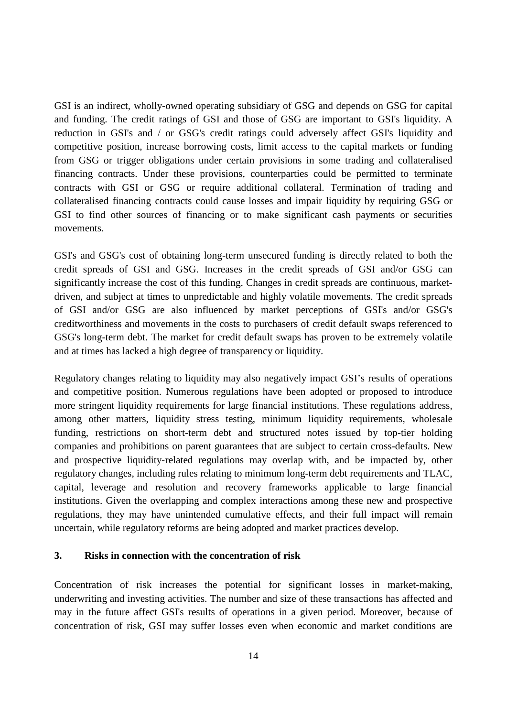GSI is an indirect, wholly-owned operating subsidiary of GSG and depends on GSG for capital and funding. The credit ratings of GSI and those of GSG are important to GSI's liquidity. A reduction in GSI's and / or GSG's credit ratings could adversely affect GSI's liquidity and competitive position, increase borrowing costs, limit access to the capital markets or funding from GSG or trigger obligations under certain provisions in some trading and collateralised financing contracts. Under these provisions, counterparties could be permitted to terminate contracts with GSI or GSG or require additional collateral. Termination of trading and collateralised financing contracts could cause losses and impair liquidity by requiring GSG or GSI to find other sources of financing or to make significant cash payments or securities movements.

GSI's and GSG's cost of obtaining long-term unsecured funding is directly related to both the credit spreads of GSI and GSG. Increases in the credit spreads of GSI and/or GSG can significantly increase the cost of this funding. Changes in credit spreads are continuous, marketdriven, and subject at times to unpredictable and highly volatile movements. The credit spreads of GSI and/or GSG are also influenced by market perceptions of GSI's and/or GSG's creditworthiness and movements in the costs to purchasers of credit default swaps referenced to GSG's long-term debt. The market for credit default swaps has proven to be extremely volatile and at times has lacked a high degree of transparency or liquidity.

Regulatory changes relating to liquidity may also negatively impact GSI's results of operations and competitive position. Numerous regulations have been adopted or proposed to introduce more stringent liquidity requirements for large financial institutions. These regulations address, among other matters, liquidity stress testing, minimum liquidity requirements, wholesale funding, restrictions on short-term debt and structured notes issued by top-tier holding companies and prohibitions on parent guarantees that are subject to certain cross-defaults. New and prospective liquidity-related regulations may overlap with, and be impacted by, other regulatory changes, including rules relating to minimum long-term debt requirements and TLAC, capital, leverage and resolution and recovery frameworks applicable to large financial institutions. Given the overlapping and complex interactions among these new and prospective regulations, they may have unintended cumulative effects, and their full impact will remain uncertain, while regulatory reforms are being adopted and market practices develop.

### <span id="page-13-0"></span>**3. Risks in connection with the concentration of risk**

Concentration of risk increases the potential for significant losses in market-making, underwriting and investing activities. The number and size of these transactions has affected and may in the future affect GSI's results of operations in a given period. Moreover, because of concentration of risk, GSI may suffer losses even when economic and market conditions are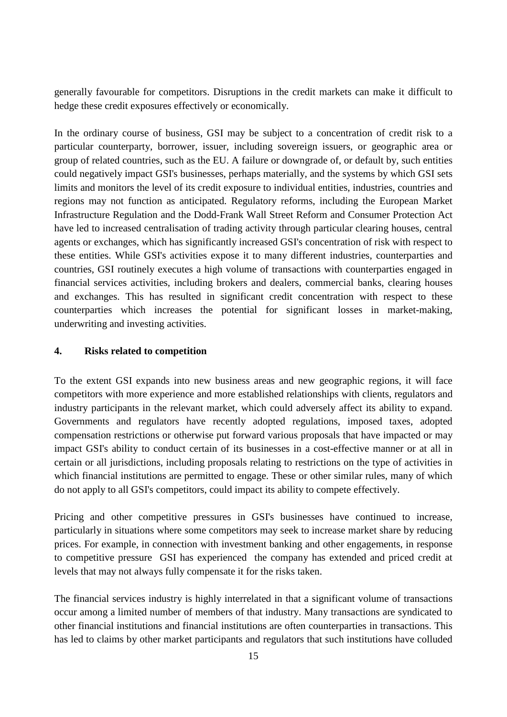generally favourable for competitors. Disruptions in the credit markets can make it difficult to hedge these credit exposures effectively or economically.

In the ordinary course of business, GSI may be subject to a concentration of credit risk to a particular counterparty, borrower, issuer, including sovereign issuers, or geographic area or group of related countries, such as the EU. A failure or downgrade of, or default by, such entities could negatively impact GSI's businesses, perhaps materially, and the systems by which GSI sets limits and monitors the level of its credit exposure to individual entities, industries, countries and regions may not function as anticipated. Regulatory reforms, including the European Market Infrastructure Regulation and the Dodd-Frank Wall Street Reform and Consumer Protection Act have led to increased centralisation of trading activity through particular clearing houses, central agents or exchanges, which has significantly increased GSI's concentration of risk with respect to these entities. While GSI's activities expose it to many different industries, counterparties and countries, GSI routinely executes a high volume of transactions with counterparties engaged in financial services activities, including brokers and dealers, commercial banks, clearing houses and exchanges. This has resulted in significant credit concentration with respect to these counterparties which increases the potential for significant losses in market-making, underwriting and investing activities.

# <span id="page-14-0"></span>**4. Risks related to competition**

To the extent GSI expands into new business areas and new geographic regions, it will face competitors with more experience and more established relationships with clients, regulators and industry participants in the relevant market, which could adversely affect its ability to expand. Governments and regulators have recently adopted regulations, imposed taxes, adopted compensation restrictions or otherwise put forward various proposals that have impacted or may impact GSI's ability to conduct certain of its businesses in a cost-effective manner or at all in certain or all jurisdictions, including proposals relating to restrictions on the type of activities in which financial institutions are permitted to engage. These or other similar rules, many of which do not apply to all GSI's competitors, could impact its ability to compete effectively.

Pricing and other competitive pressures in GSI's businesses have continued to increase, particularly in situations where some competitors may seek to increase market share by reducing prices. For example, in connection with investment banking and other engagements, in response to competitive pressure GSI has experienced the company has extended and priced credit at levels that may not always fully compensate it for the risks taken.

The financial services industry is highly interrelated in that a significant volume of transactions occur among a limited number of members of that industry. Many transactions are syndicated to other financial institutions and financial institutions are often counterparties in transactions. This has led to claims by other market participants and regulators that such institutions have colluded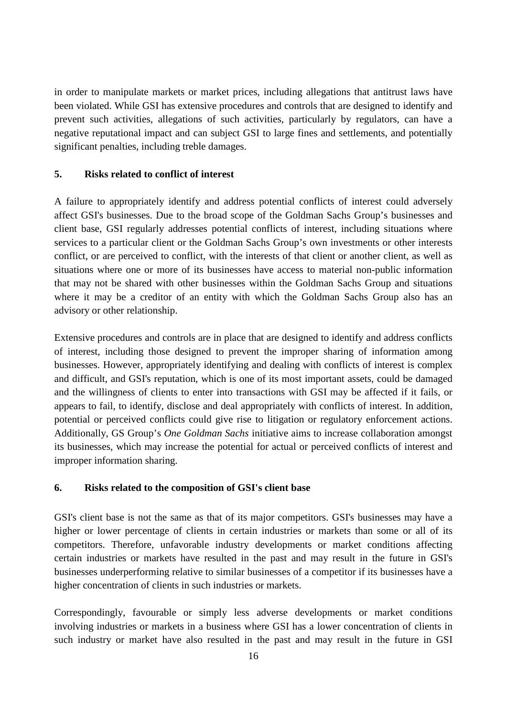in order to manipulate markets or market prices, including allegations that antitrust laws have been violated. While GSI has extensive procedures and controls that are designed to identify and prevent such activities, allegations of such activities, particularly by regulators, can have a negative reputational impact and can subject GSI to large fines and settlements, and potentially significant penalties, including treble damages.

#### <span id="page-15-0"></span>**5. Risks related to conflict of interest**

A failure to appropriately identify and address potential conflicts of interest could adversely affect GSI's businesses. Due to the broad scope of the Goldman Sachs Group's businesses and client base, GSI regularly addresses potential conflicts of interest, including situations where services to a particular client or the Goldman Sachs Group's own investments or other interests conflict, or are perceived to conflict, with the interests of that client or another client, as well as situations where one or more of its businesses have access to material non-public information that may not be shared with other businesses within the Goldman Sachs Group and situations where it may be a creditor of an entity with which the Goldman Sachs Group also has an advisory or other relationship.

Extensive procedures and controls are in place that are designed to identify and address conflicts of interest, including those designed to prevent the improper sharing of information among businesses. However, appropriately identifying and dealing with conflicts of interest is complex and difficult, and GSI's reputation, which is one of its most important assets, could be damaged and the willingness of clients to enter into transactions with GSI may be affected if it fails, or appears to fail, to identify, disclose and deal appropriately with conflicts of interest. In addition, potential or perceived conflicts could give rise to litigation or regulatory enforcement actions. Additionally, GS Group's *One Goldman Sachs* initiative aims to increase collaboration amongst its businesses, which may increase the potential for actual or perceived conflicts of interest and improper information sharing.

### <span id="page-15-1"></span>**6. Risks related to the composition of GSI's client base**

GSI's client base is not the same as that of its major competitors. GSI's businesses may have a higher or lower percentage of clients in certain industries or markets than some or all of its competitors. Therefore, unfavorable industry developments or market conditions affecting certain industries or markets have resulted in the past and may result in the future in GSI's businesses underperforming relative to similar businesses of a competitor if its businesses have a higher concentration of clients in such industries or markets.

Correspondingly, favourable or simply less adverse developments or market conditions involving industries or markets in a business where GSI has a lower concentration of clients in such industry or market have also resulted in the past and may result in the future in GSI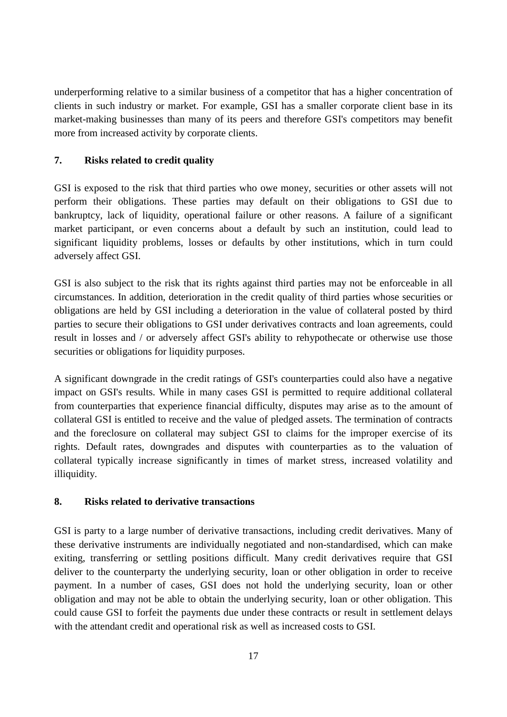underperforming relative to a similar business of a competitor that has a higher concentration of clients in such industry or market. For example, GSI has a smaller corporate client base in its market-making businesses than many of its peers and therefore GSI's competitors may benefit more from increased activity by corporate clients.

# <span id="page-16-0"></span>**7. Risks related to credit quality**

GSI is exposed to the risk that third parties who owe money, securities or other assets will not perform their obligations. These parties may default on their obligations to GSI due to bankruptcy, lack of liquidity, operational failure or other reasons. A failure of a significant market participant, or even concerns about a default by such an institution, could lead to significant liquidity problems, losses or defaults by other institutions, which in turn could adversely affect GSI.

GSI is also subject to the risk that its rights against third parties may not be enforceable in all circumstances. In addition, deterioration in the credit quality of third parties whose securities or obligations are held by GSI including a deterioration in the value of collateral posted by third parties to secure their obligations to GSI under derivatives contracts and loan agreements, could result in losses and / or adversely affect GSI's ability to rehypothecate or otherwise use those securities or obligations for liquidity purposes.

A significant downgrade in the credit ratings of GSI's counterparties could also have a negative impact on GSI's results. While in many cases GSI is permitted to require additional collateral from counterparties that experience financial difficulty, disputes may arise as to the amount of collateral GSI is entitled to receive and the value of pledged assets. The termination of contracts and the foreclosure on collateral may subject GSI to claims for the improper exercise of its rights. Default rates, downgrades and disputes with counterparties as to the valuation of collateral typically increase significantly in times of market stress, increased volatility and illiquidity.

### <span id="page-16-1"></span>**8. Risks related to derivative transactions**

GSI is party to a large number of derivative transactions, including credit derivatives. Many of these derivative instruments are individually negotiated and non-standardised, which can make exiting, transferring or settling positions difficult. Many credit derivatives require that GSI deliver to the counterparty the underlying security, loan or other obligation in order to receive payment. In a number of cases, GSI does not hold the underlying security, loan or other obligation and may not be able to obtain the underlying security, loan or other obligation. This could cause GSI to forfeit the payments due under these contracts or result in settlement delays with the attendant credit and operational risk as well as increased costs to GSI.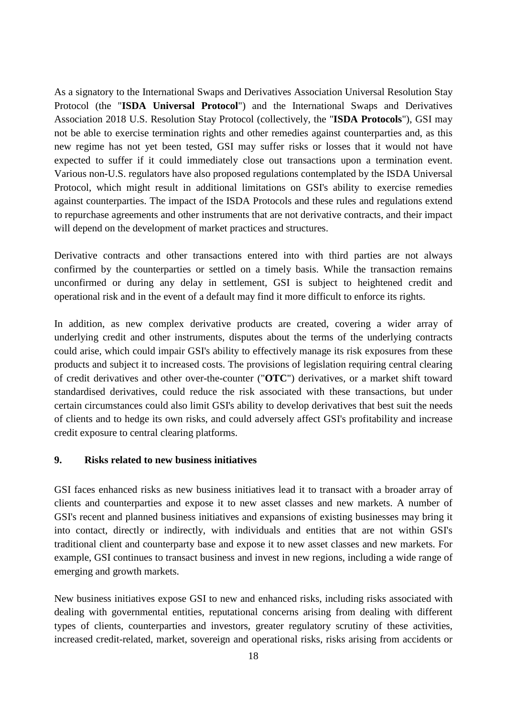As a signatory to the International Swaps and Derivatives Association Universal Resolution Stay Protocol (the "**ISDA Universal Protocol**") and the International Swaps and Derivatives Association 2018 U.S. Resolution Stay Protocol (collectively, the "**ISDA Protocols**"), GSI may not be able to exercise termination rights and other remedies against counterparties and, as this new regime has not yet been tested, GSI may suffer risks or losses that it would not have expected to suffer if it could immediately close out transactions upon a termination event. Various non-U.S. regulators have also proposed regulations contemplated by the ISDA Universal Protocol, which might result in additional limitations on GSI's ability to exercise remedies against counterparties. The impact of the ISDA Protocols and these rules and regulations extend to repurchase agreements and other instruments that are not derivative contracts, and their impact will depend on the development of market practices and structures.

Derivative contracts and other transactions entered into with third parties are not always confirmed by the counterparties or settled on a timely basis. While the transaction remains unconfirmed or during any delay in settlement, GSI is subject to heightened credit and operational risk and in the event of a default may find it more difficult to enforce its rights.

In addition, as new complex derivative products are created, covering a wider array of underlying credit and other instruments, disputes about the terms of the underlying contracts could arise, which could impair GSI's ability to effectively manage its risk exposures from these products and subject it to increased costs. The provisions of legislation requiring central clearing of credit derivatives and other over-the-counter ("**OTC**") derivatives, or a market shift toward standardised derivatives, could reduce the risk associated with these transactions, but under certain circumstances could also limit GSI's ability to develop derivatives that best suit the needs of clients and to hedge its own risks, and could adversely affect GSI's profitability and increase credit exposure to central clearing platforms.

#### <span id="page-17-0"></span>**9. Risks related to new business initiatives**

GSI faces enhanced risks as new business initiatives lead it to transact with a broader array of clients and counterparties and expose it to new asset classes and new markets. A number of GSI's recent and planned business initiatives and expansions of existing businesses may bring it into contact, directly or indirectly, with individuals and entities that are not within GSI's traditional client and counterparty base and expose it to new asset classes and new markets. For example, GSI continues to transact business and invest in new regions, including a wide range of emerging and growth markets.

New business initiatives expose GSI to new and enhanced risks, including risks associated with dealing with governmental entities, reputational concerns arising from dealing with different types of clients, counterparties and investors, greater regulatory scrutiny of these activities, increased credit-related, market, sovereign and operational risks, risks arising from accidents or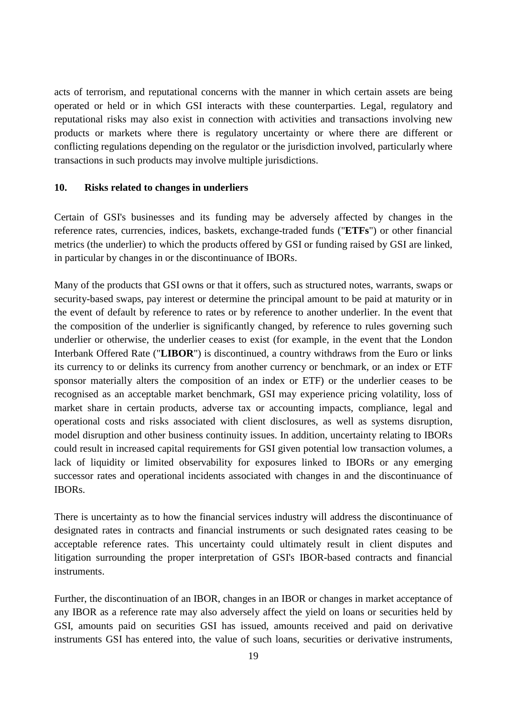acts of terrorism, and reputational concerns with the manner in which certain assets are being operated or held or in which GSI interacts with these counterparties. Legal, regulatory and reputational risks may also exist in connection with activities and transactions involving new products or markets where there is regulatory uncertainty or where there are different or conflicting regulations depending on the regulator or the jurisdiction involved, particularly where transactions in such products may involve multiple jurisdictions.

#### <span id="page-18-0"></span>**10. Risks related to changes in underliers**

Certain of GSI's businesses and its funding may be adversely affected by changes in the reference rates, currencies, indices, baskets, exchange-traded funds ("**ETFs**") or other financial metrics (the underlier) to which the products offered by GSI or funding raised by GSI are linked, in particular by changes in or the discontinuance of IBORs.

Many of the products that GSI owns or that it offers, such as structured notes, warrants, swaps or security-based swaps, pay interest or determine the principal amount to be paid at maturity or in the event of default by reference to rates or by reference to another underlier. In the event that the composition of the underlier is significantly changed, by reference to rules governing such underlier or otherwise, the underlier ceases to exist (for example, in the event that the London Interbank Offered Rate ("**LIBOR**") is discontinued, a country withdraws from the Euro or links its currency to or delinks its currency from another currency or benchmark, or an index or ETF sponsor materially alters the composition of an index or ETF) or the underlier ceases to be recognised as an acceptable market benchmark, GSI may experience pricing volatility, loss of market share in certain products, adverse tax or accounting impacts, compliance, legal and operational costs and risks associated with client disclosures, as well as systems disruption, model disruption and other business continuity issues. In addition, uncertainty relating to IBORs could result in increased capital requirements for GSI given potential low transaction volumes, a lack of liquidity or limited observability for exposures linked to IBORs or any emerging successor rates and operational incidents associated with changes in and the discontinuance of IBORs.

There is uncertainty as to how the financial services industry will address the discontinuance of designated rates in contracts and financial instruments or such designated rates ceasing to be acceptable reference rates. This uncertainty could ultimately result in client disputes and litigation surrounding the proper interpretation of GSI's IBOR-based contracts and financial instruments.

Further, the discontinuation of an IBOR, changes in an IBOR or changes in market acceptance of any IBOR as a reference rate may also adversely affect the yield on loans or securities held by GSI, amounts paid on securities GSI has issued, amounts received and paid on derivative instruments GSI has entered into, the value of such loans, securities or derivative instruments,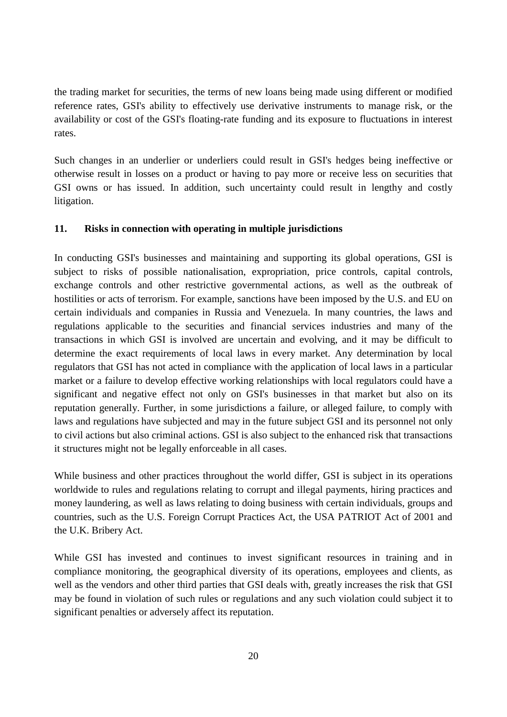the trading market for securities, the terms of new loans being made using different or modified reference rates, GSI's ability to effectively use derivative instruments to manage risk, or the availability or cost of the GSI's floating-rate funding and its exposure to fluctuations in interest rates.

Such changes in an underlier or underliers could result in GSI's hedges being ineffective or otherwise result in losses on a product or having to pay more or receive less on securities that GSI owns or has issued. In addition, such uncertainty could result in lengthy and costly litigation.

#### <span id="page-19-0"></span>**11. Risks in connection with operating in multiple jurisdictions**

In conducting GSI's businesses and maintaining and supporting its global operations, GSI is subject to risks of possible nationalisation, expropriation, price controls, capital controls, exchange controls and other restrictive governmental actions, as well as the outbreak of hostilities or acts of terrorism. For example, sanctions have been imposed by the U.S. and EU on certain individuals and companies in Russia and Venezuela. In many countries, the laws and regulations applicable to the securities and financial services industries and many of the transactions in which GSI is involved are uncertain and evolving, and it may be difficult to determine the exact requirements of local laws in every market. Any determination by local regulators that GSI has not acted in compliance with the application of local laws in a particular market or a failure to develop effective working relationships with local regulators could have a significant and negative effect not only on GSI's businesses in that market but also on its reputation generally. Further, in some jurisdictions a failure, or alleged failure, to comply with laws and regulations have subjected and may in the future subject GSI and its personnel not only to civil actions but also criminal actions. GSI is also subject to the enhanced risk that transactions it structures might not be legally enforceable in all cases.

While business and other practices throughout the world differ, GSI is subject in its operations worldwide to rules and regulations relating to corrupt and illegal payments, hiring practices and money laundering, as well as laws relating to doing business with certain individuals, groups and countries, such as the U.S. Foreign Corrupt Practices Act, the USA PATRIOT Act of 2001 and the U.K. Bribery Act.

While GSI has invested and continues to invest significant resources in training and in compliance monitoring, the geographical diversity of its operations, employees and clients, as well as the vendors and other third parties that GSI deals with, greatly increases the risk that GSI may be found in violation of such rules or regulations and any such violation could subject it to significant penalties or adversely affect its reputation.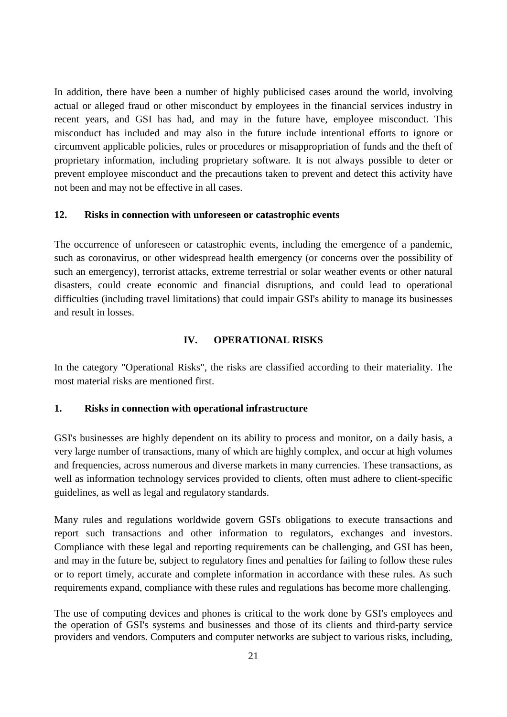In addition, there have been a number of highly publicised cases around the world, involving actual or alleged fraud or other misconduct by employees in the financial services industry in recent years, and GSI has had, and may in the future have, employee misconduct. This misconduct has included and may also in the future include intentional efforts to ignore or circumvent applicable policies, rules or procedures or misappropriation of funds and the theft of proprietary information, including proprietary software. It is not always possible to deter or prevent employee misconduct and the precautions taken to prevent and detect this activity have not been and may not be effective in all cases.

#### <span id="page-20-0"></span>**12. Risks in connection with unforeseen or catastrophic events**

The occurrence of unforeseen or catastrophic events, including the emergence of a pandemic, such as coronavirus, or other widespread health emergency (or concerns over the possibility of such an emergency), terrorist attacks, extreme terrestrial or solar weather events or other natural disasters, could create economic and financial disruptions, and could lead to operational difficulties (including travel limitations) that could impair GSI's ability to manage its businesses and result in losses.

### <span id="page-20-1"></span>**IV. OPERATIONAL RISKS**

In the category "Operational Risks", the risks are classified according to their materiality. The most material risks are mentioned first.

### <span id="page-20-2"></span>**1. Risks in connection with operational infrastructure**

GSI's businesses are highly dependent on its ability to process and monitor, on a daily basis, a very large number of transactions, many of which are highly complex, and occur at high volumes and frequencies, across numerous and diverse markets in many currencies. These transactions, as well as information technology services provided to clients, often must adhere to client-specific guidelines, as well as legal and regulatory standards.

Many rules and regulations worldwide govern GSI's obligations to execute transactions and report such transactions and other information to regulators, exchanges and investors. Compliance with these legal and reporting requirements can be challenging, and GSI has been, and may in the future be, subject to regulatory fines and penalties for failing to follow these rules or to report timely, accurate and complete information in accordance with these rules. As such requirements expand, compliance with these rules and regulations has become more challenging.

The use of computing devices and phones is critical to the work done by GSI's employees and the operation of GSI's systems and businesses and those of its clients and third-party service providers and vendors. Computers and computer networks are subject to various risks, including,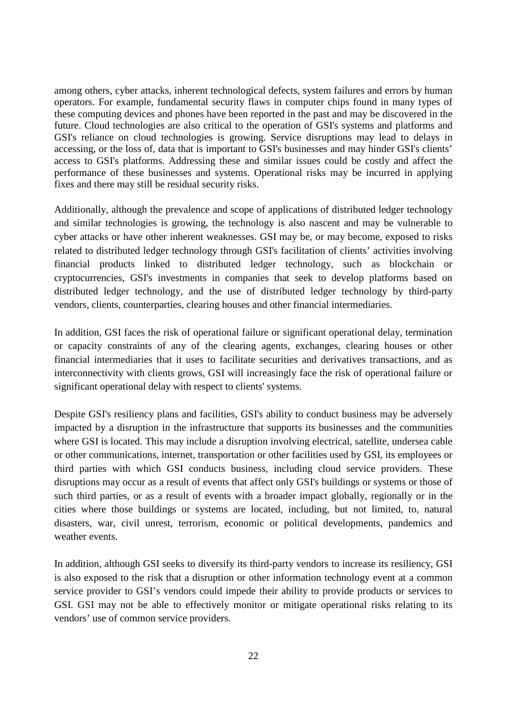among others, cyber attacks, inherent technological defects, system failures and errors by human operators. For example, fundamental security flaws in computer chips found in many types of these computing devices and phones have been reported in the past and may be discovered in the future. Cloud technologies are also critical to the operation of GSI's systems and platforms and GSI's reliance on cloud technologies is growing. Service disruptions may lead to delays in accessing, or the loss of, data that is important to GSI's businesses and may hinder GSI's clients' access to GSI's platforms. Addressing these and similar issues could be costly and affect the performance of these businesses and systems. Operational risks may be incurred in applying fixes and there may still be residual security risks.

Additionally, although the prevalence and scope of applications of distributed ledger technology and similar technologies is growing, the technology is also nascent and may be vulnerable to cyber attacks or have other inherent weaknesses. GSI may be, or may become, exposed to risks related to distributed ledger technology through GSI's facilitation of clients' activities involving financial products linked to distributed ledger technology, such as blockchain or cryptocurrencies, GSI's investments in companies that seek to develop platforms based on distributed ledger technology, and the use of distributed ledger technology by third-party vendors, clients, counterparties, clearing houses and other financial intermediaries.

In addition, GSI faces the risk of operational failure or significant operational delay, termination or capacity constraints of any of the clearing agents, exchanges, clearing houses or other financial intermediaries that it uses to facilitate securities and derivatives transactions, and as interconnectivity with clients grows, GSI will increasingly face the risk of operational failure or significant operational delay with respect to clients' systems.

Despite GSI's resiliency plans and facilities, GSI's ability to conduct business may be adversely impacted by a disruption in the infrastructure that supports its businesses and the communities where GSI is located. This may include a disruption involving electrical, satellite, undersea cable or other communications, internet, transportation or other facilities used by GSI, its employees or third parties with which GSI conducts business, including cloud service providers. These disruptions may occur as a result of events that affect only GSI's buildings or systems or those of such third parties, or as a result of events with a broader impact globally, regionally or in the cities where those buildings or systems are located, including, but not limited, to, natural disasters, war, civil unrest, terrorism, economic or political developments, pandemics and weather events.

In addition, although GSI seeks to diversify its third-party vendors to increase its resiliency, GSI is also exposed to the risk that a disruption or other information technology event at a common service provider to GSI's vendors could impede their ability to provide products or services to GSI. GSI may not be able to effectively monitor or mitigate operational risks relating to its vendors' use of common service providers.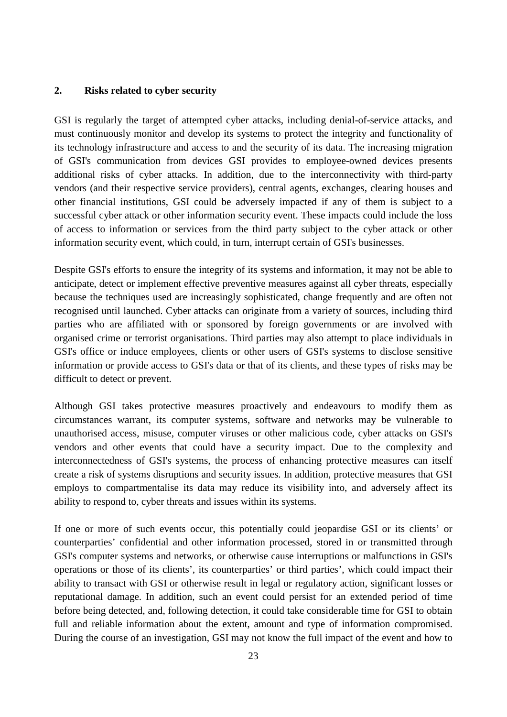### <span id="page-22-0"></span>**2. Risks related to cyber security**

GSI is regularly the target of attempted cyber attacks, including denial-of-service attacks, and must continuously monitor and develop its systems to protect the integrity and functionality of its technology infrastructure and access to and the security of its data. The increasing migration of GSI's communication from devices GSI provides to employee-owned devices presents additional risks of cyber attacks. In addition, due to the interconnectivity with third-party vendors (and their respective service providers), central agents, exchanges, clearing houses and other financial institutions, GSI could be adversely impacted if any of them is subject to a successful cyber attack or other information security event. These impacts could include the loss of access to information or services from the third party subject to the cyber attack or other information security event, which could, in turn, interrupt certain of GSI's businesses.

Despite GSI's efforts to ensure the integrity of its systems and information, it may not be able to anticipate, detect or implement effective preventive measures against all cyber threats, especially because the techniques used are increasingly sophisticated, change frequently and are often not recognised until launched. Cyber attacks can originate from a variety of sources, including third parties who are affiliated with or sponsored by foreign governments or are involved with organised crime or terrorist organisations. Third parties may also attempt to place individuals in GSI's office or induce employees, clients or other users of GSI's systems to disclose sensitive information or provide access to GSI's data or that of its clients, and these types of risks may be difficult to detect or prevent.

Although GSI takes protective measures proactively and endeavours to modify them as circumstances warrant, its computer systems, software and networks may be vulnerable to unauthorised access, misuse, computer viruses or other malicious code, cyber attacks on GSI's vendors and other events that could have a security impact. Due to the complexity and interconnectedness of GSI's systems, the process of enhancing protective measures can itself create a risk of systems disruptions and security issues. In addition, protective measures that GSI employs to compartmentalise its data may reduce its visibility into, and adversely affect its ability to respond to, cyber threats and issues within its systems.

If one or more of such events occur, this potentially could jeopardise GSI or its clients' or counterparties' confidential and other information processed, stored in or transmitted through GSI's computer systems and networks, or otherwise cause interruptions or malfunctions in GSI's operations or those of its clients', its counterparties' or third parties', which could impact their ability to transact with GSI or otherwise result in legal or regulatory action, significant losses or reputational damage. In addition, such an event could persist for an extended period of time before being detected, and, following detection, it could take considerable time for GSI to obtain full and reliable information about the extent, amount and type of information compromised. During the course of an investigation, GSI may not know the full impact of the event and how to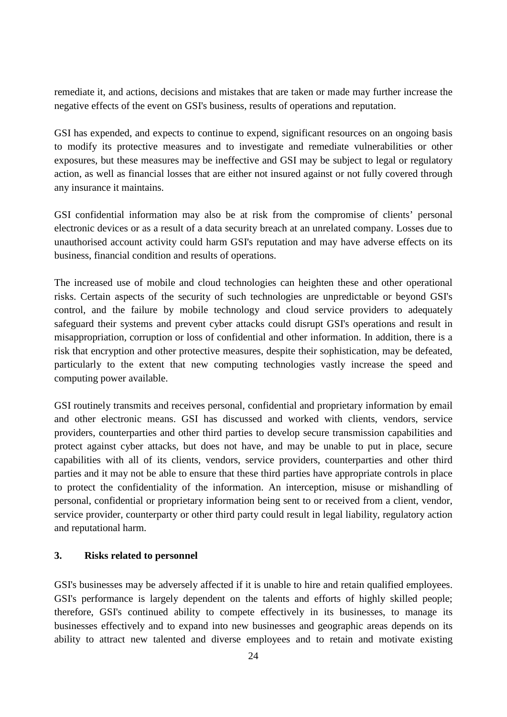remediate it, and actions, decisions and mistakes that are taken or made may further increase the negative effects of the event on GSI's business, results of operations and reputation.

GSI has expended, and expects to continue to expend, significant resources on an ongoing basis to modify its protective measures and to investigate and remediate vulnerabilities or other exposures, but these measures may be ineffective and GSI may be subject to legal or regulatory action, as well as financial losses that are either not insured against or not fully covered through any insurance it maintains.

GSI confidential information may also be at risk from the compromise of clients' personal electronic devices or as a result of a data security breach at an unrelated company. Losses due to unauthorised account activity could harm GSI's reputation and may have adverse effects on its business, financial condition and results of operations.

The increased use of mobile and cloud technologies can heighten these and other operational risks. Certain aspects of the security of such technologies are unpredictable or beyond GSI's control, and the failure by mobile technology and cloud service providers to adequately safeguard their systems and prevent cyber attacks could disrupt GSI's operations and result in misappropriation, corruption or loss of confidential and other information. In addition, there is a risk that encryption and other protective measures, despite their sophistication, may be defeated, particularly to the extent that new computing technologies vastly increase the speed and computing power available.

GSI routinely transmits and receives personal, confidential and proprietary information by email and other electronic means. GSI has discussed and worked with clients, vendors, service providers, counterparties and other third parties to develop secure transmission capabilities and protect against cyber attacks, but does not have, and may be unable to put in place, secure capabilities with all of its clients, vendors, service providers, counterparties and other third parties and it may not be able to ensure that these third parties have appropriate controls in place to protect the confidentiality of the information. An interception, misuse or mishandling of personal, confidential or proprietary information being sent to or received from a client, vendor, service provider, counterparty or other third party could result in legal liability, regulatory action and reputational harm.

## <span id="page-23-0"></span>**3. Risks related to personnel**

GSI's businesses may be adversely affected if it is unable to hire and retain qualified employees. GSI's performance is largely dependent on the talents and efforts of highly skilled people; therefore, GSI's continued ability to compete effectively in its businesses, to manage its businesses effectively and to expand into new businesses and geographic areas depends on its ability to attract new talented and diverse employees and to retain and motivate existing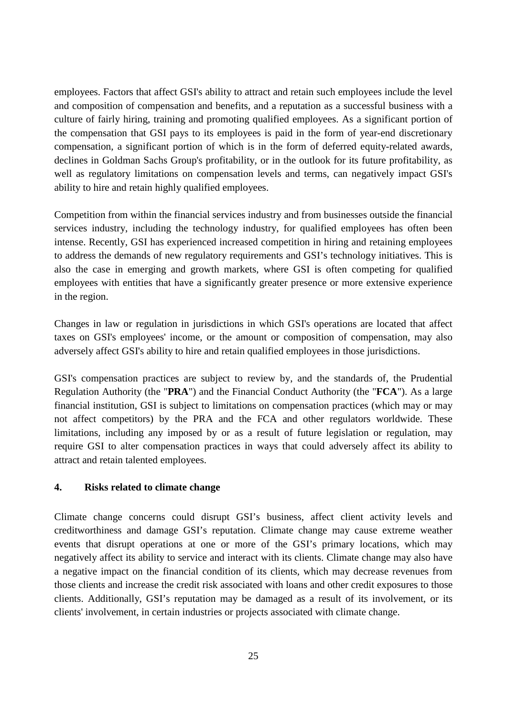employees. Factors that affect GSI's ability to attract and retain such employees include the level and composition of compensation and benefits, and a reputation as a successful business with a culture of fairly hiring, training and promoting qualified employees. As a significant portion of the compensation that GSI pays to its employees is paid in the form of year-end discretionary compensation, a significant portion of which is in the form of deferred equity-related awards, declines in Goldman Sachs Group's profitability, or in the outlook for its future profitability, as well as regulatory limitations on compensation levels and terms, can negatively impact GSI's ability to hire and retain highly qualified employees.

Competition from within the financial services industry and from businesses outside the financial services industry, including the technology industry, for qualified employees has often been intense. Recently, GSI has experienced increased competition in hiring and retaining employees to address the demands of new regulatory requirements and GSI's technology initiatives. This is also the case in emerging and growth markets, where GSI is often competing for qualified employees with entities that have a significantly greater presence or more extensive experience in the region.

Changes in law or regulation in jurisdictions in which GSI's operations are located that affect taxes on GSI's employees' income, or the amount or composition of compensation, may also adversely affect GSI's ability to hire and retain qualified employees in those jurisdictions.

GSI's compensation practices are subject to review by, and the standards of, the Prudential Regulation Authority (the "**PRA**") and the Financial Conduct Authority (the "**FCA**"). As a large financial institution, GSI is subject to limitations on compensation practices (which may or may not affect competitors) by the PRA and the FCA and other regulators worldwide. These limitations, including any imposed by or as a result of future legislation or regulation, may require GSI to alter compensation practices in ways that could adversely affect its ability to attract and retain talented employees.

# <span id="page-24-0"></span>**4. Risks related to climate change**

Climate change concerns could disrupt GSI's business, affect client activity levels and creditworthiness and damage GSI's reputation. Climate change may cause extreme weather events that disrupt operations at one or more of the GSI's primary locations, which may negatively affect its ability to service and interact with its clients. Climate change may also have a negative impact on the financial condition of its clients, which may decrease revenues from those clients and increase the credit risk associated with loans and other credit exposures to those clients. Additionally, GSI's reputation may be damaged as a result of its involvement, or its clients' involvement, in certain industries or projects associated with climate change.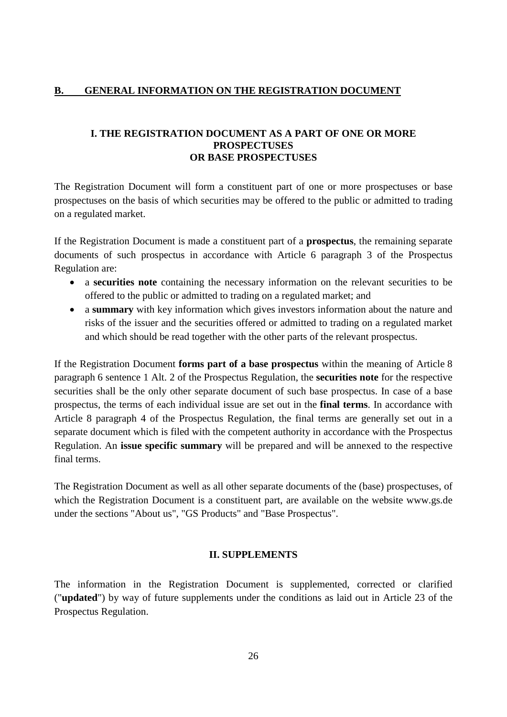## <span id="page-25-0"></span>**B. GENERAL INFORMATION ON THE REGISTRATION DOCUMENT**

### <span id="page-25-1"></span>**I. THE REGISTRATION DOCUMENT AS A PART OF ONE OR MORE PROSPECTUSES OR BASE PROSPECTUSES**

The Registration Document will form a constituent part of one or more prospectuses or base prospectuses on the basis of which securities may be offered to the public or admitted to trading on a regulated market.

If the Registration Document is made a constituent part of a **prospectus**, the remaining separate documents of such prospectus in accordance with Article 6 paragraph 3 of the Prospectus Regulation are:

- a **securities note** containing the necessary information on the relevant securities to be offered to the public or admitted to trading on a regulated market; and
- a **summary** with key information which gives investors information about the nature and risks of the issuer and the securities offered or admitted to trading on a regulated market and which should be read together with the other parts of the relevant prospectus.

If the Registration Document **forms part of a base prospectus** within the meaning of Article 8 paragraph 6 sentence 1 Alt. 2 of the Prospectus Regulation, the **securities note** for the respective securities shall be the only other separate document of such base prospectus. In case of a base prospectus, the terms of each individual issue are set out in the **final terms**. In accordance with Article 8 paragraph 4 of the Prospectus Regulation, the final terms are generally set out in a separate document which is filed with the competent authority in accordance with the Prospectus Regulation. An **issue specific summary** will be prepared and will be annexed to the respective final terms.

The Registration Document as well as all other separate documents of the (base) prospectuses, of which the Registration Document is a constituent part, are available on the website www.gs.de under the sections "About us", "GS Products" and "Base Prospectus".

### <span id="page-25-2"></span>**II. SUPPLEMENTS**

The information in the Registration Document is supplemented, corrected or clarified ("**updated**") by way of future supplements under the conditions as laid out in Article 23 of the Prospectus Regulation.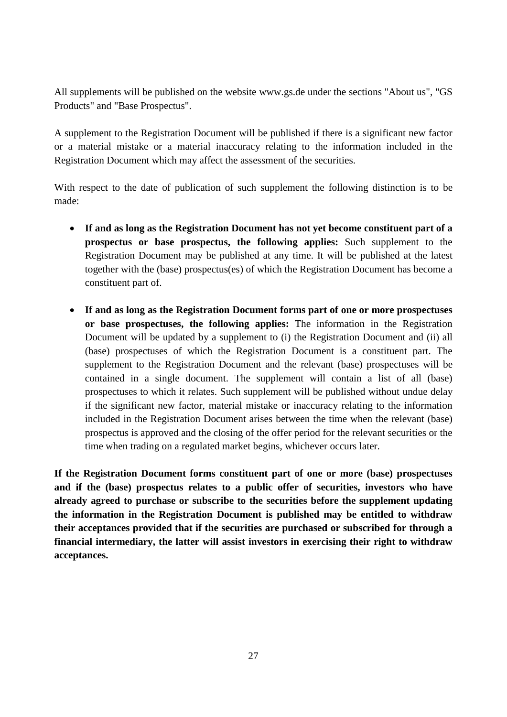All supplements will be published on the website www.gs.de under the sections "About us", "GS Products" and "Base Prospectus".

A supplement to the Registration Document will be published if there is a significant new factor or a material mistake or a material inaccuracy relating to the information included in the Registration Document which may affect the assessment of the securities.

With respect to the date of publication of such supplement the following distinction is to be made:

- **If and as long as the Registration Document has not yet become constituent part of a prospectus or base prospectus, the following applies:** Such supplement to the Registration Document may be published at any time. It will be published at the latest together with the (base) prospectus(es) of which the Registration Document has become a constituent part of.
- **If and as long as the Registration Document forms part of one or more prospectuses or base prospectuses, the following applies:** The information in the Registration Document will be updated by a supplement to (i) the Registration Document and (ii) all (base) prospectuses of which the Registration Document is a constituent part. The supplement to the Registration Document and the relevant (base) prospectuses will be contained in a single document. The supplement will contain a list of all (base) prospectuses to which it relates. Such supplement will be published without undue delay if the significant new factor, material mistake or inaccuracy relating to the information included in the Registration Document arises between the time when the relevant (base) prospectus is approved and the closing of the offer period for the relevant securities or the time when trading on a regulated market begins, whichever occurs later.

**If the Registration Document forms constituent part of one or more (base) prospectuses and if the (base) prospectus relates to a public offer of securities, investors who have already agreed to purchase or subscribe to the securities before the supplement updating the information in the Registration Document is published may be entitled to withdraw their acceptances provided that if the securities are purchased or subscribed for through a financial intermediary, the latter will assist investors in exercising their right to withdraw acceptances.**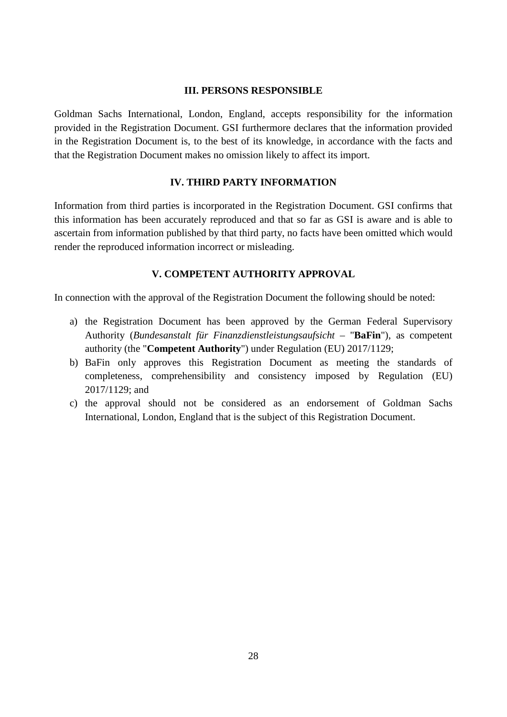#### <span id="page-27-0"></span>**III. PERSONS RESPONSIBLE**

Goldman Sachs International, London, England, accepts responsibility for the information provided in the Registration Document. GSI furthermore declares that the information provided in the Registration Document is, to the best of its knowledge, in accordance with the facts and that the Registration Document makes no omission likely to affect its import.

### <span id="page-27-1"></span>**IV. THIRD PARTY INFORMATION**

Information from third parties is incorporated in the Registration Document. GSI confirms that this information has been accurately reproduced and that so far as GSI is aware and is able to ascertain from information published by that third party, no facts have been omitted which would render the reproduced information incorrect or misleading.

### <span id="page-27-2"></span>**V. COMPETENT AUTHORITY APPROVAL**

In connection with the approval of the Registration Document the following should be noted:

- a) the Registration Document has been approved by the German Federal Supervisory Authority (*Bundesanstalt für Finanzdienstleistungsaufsicht –* "**BaFin**"), as competent authority (the "**Competent Authority**") under Regulation (EU) 2017/1129;
- b) BaFin only approves this Registration Document as meeting the standards of completeness, comprehensibility and consistency imposed by Regulation (EU) 2017/1129; and
- c) the approval should not be considered as an endorsement of Goldman Sachs International, London, England that is the subject of this Registration Document.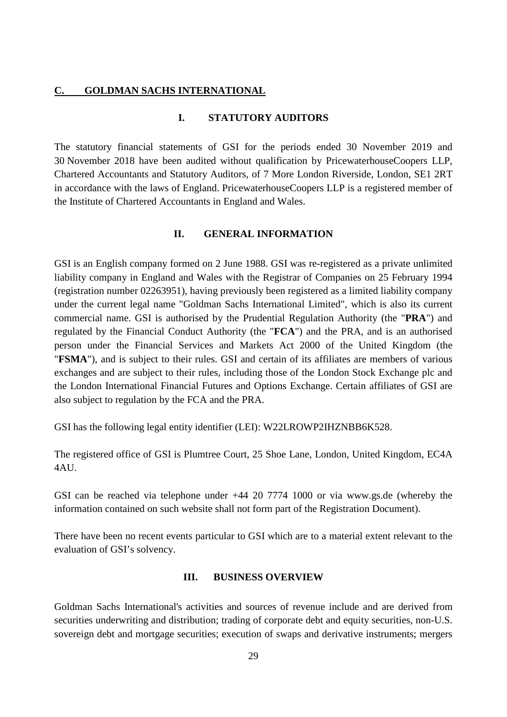#### <span id="page-28-0"></span>**C. GOLDMAN SACHS INTERNATIONAL**

#### <span id="page-28-1"></span>**I. STATUTORY AUDITORS**

The statutory financial statements of GSI for the periods ended 30 November 2019 and 30 November 2018 have been audited without qualification by PricewaterhouseCoopers LLP, Chartered Accountants and Statutory Auditors, of 7 More London Riverside, London, SE1 2RT in accordance with the laws of England. PricewaterhouseCoopers LLP is a registered member of the Institute of Chartered Accountants in England and Wales.

#### <span id="page-28-2"></span>**II. GENERAL INFORMATION**

GSI is an English company formed on 2 June 1988. GSI was re-registered as a private unlimited liability company in England and Wales with the Registrar of Companies on 25 February 1994 (registration number 02263951), having previously been registered as a limited liability company under the current legal name "Goldman Sachs International Limited", which is also its current commercial name. GSI is authorised by the Prudential Regulation Authority (the "**PRA**") and regulated by the Financial Conduct Authority (the "**FCA**") and the PRA, and is an authorised person under the Financial Services and Markets Act 2000 of the United Kingdom (the "**FSMA**"), and is subject to their rules. GSI and certain of its affiliates are members of various exchanges and are subject to their rules, including those of the London Stock Exchange plc and the London International Financial Futures and Options Exchange. Certain affiliates of GSI are also subject to regulation by the FCA and the PRA.

GSI has the following legal entity identifier (LEI): W22LROWP2IHZNBB6K528.

The registered office of GSI is Plumtree Court, 25 Shoe Lane, London, United Kingdom, EC4A 4AU.

GSI can be reached via telephone under +44 20 7774 1000 or via www.gs.de (whereby the information contained on such website shall not form part of the Registration Document).

There have been no recent events particular to GSI which are to a material extent relevant to the evaluation of GSI's solvency.

#### <span id="page-28-3"></span>**III. BUSINESS OVERVIEW**

Goldman Sachs International's activities and sources of revenue include and are derived from securities underwriting and distribution; trading of corporate debt and equity securities, non-U.S. sovereign debt and mortgage securities; execution of swaps and derivative instruments; mergers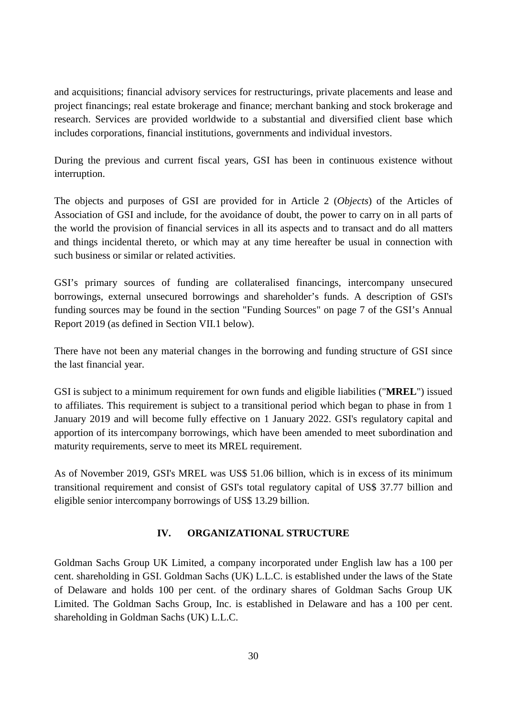and acquisitions; financial advisory services for restructurings, private placements and lease and project financings; real estate brokerage and finance; merchant banking and stock brokerage and research. Services are provided worldwide to a substantial and diversified client base which includes corporations, financial institutions, governments and individual investors.

During the previous and current fiscal years, GSI has been in continuous existence without interruption.

The objects and purposes of GSI are provided for in Article 2 (*Objects*) of the Articles of Association of GSI and include, for the avoidance of doubt, the power to carry on in all parts of the world the provision of financial services in all its aspects and to transact and do all matters and things incidental thereto, or which may at any time hereafter be usual in connection with such business or similar or related activities.

GSI's primary sources of funding are collateralised financings, intercompany unsecured borrowings, external unsecured borrowings and shareholder's funds. A description of GSI's funding sources may be found in the section "Funding Sources" on page 7 of the GSI's Annual Report 2019 (as defined in Section VII.1 below).

There have not been any material changes in the borrowing and funding structure of GSI since the last financial year.

GSI is subject to a minimum requirement for own funds and eligible liabilities ("**MREL**") issued to affiliates. This requirement is subject to a transitional period which began to phase in from 1 January 2019 and will become fully effective on 1 January 2022. GSI's regulatory capital and apportion of its intercompany borrowings, which have been amended to meet subordination and maturity requirements, serve to meet its MREL requirement.

As of November 2019, GSI's MREL was US\$ 51.06 billion, which is in excess of its minimum transitional requirement and consist of GSI's total regulatory capital of US\$ 37.77 billion and eligible senior intercompany borrowings of US\$ 13.29 billion.

# <span id="page-29-0"></span>**IV. ORGANIZATIONAL STRUCTURE**

Goldman Sachs Group UK Limited, a company incorporated under English law has a 100 per cent. shareholding in GSI. Goldman Sachs (UK) L.L.C. is established under the laws of the State of Delaware and holds 100 per cent. of the ordinary shares of Goldman Sachs Group UK Limited. The Goldman Sachs Group, Inc. is established in Delaware and has a 100 per cent. shareholding in Goldman Sachs (UK) L.L.C.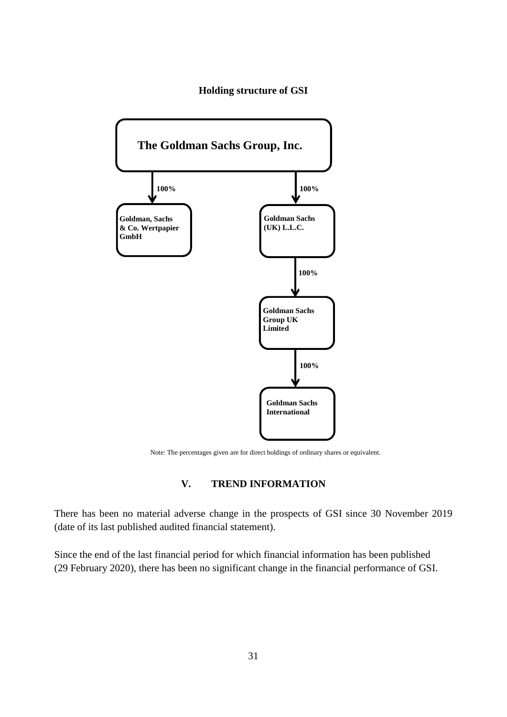#### **Holding structure of GSI**



Note: The percentages given are for direct holdings of ordinary shares or equivalent.

## <span id="page-30-0"></span>**V. TREND INFORMATION**

There has been no material adverse change in the prospects of GSI since 30 November 2019 (date of its last published audited financial statement).

Since the end of the last financial period for which financial information has been published (29 February 2020), there has been no significant change in the financial performance of GSI.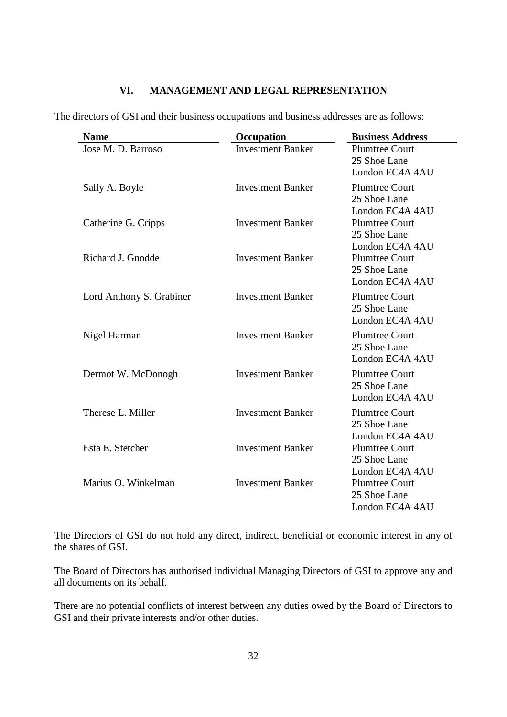# <span id="page-31-0"></span>**VI. MANAGEMENT AND LEGAL REPRESENTATION**

The directors of GSI and their business occupations and business addresses are as follows:

| <b>Name</b>              | Occupation               | <b>Business Address</b>                                  |
|--------------------------|--------------------------|----------------------------------------------------------|
| Jose M. D. Barroso       | <b>Investment Banker</b> | <b>Plumtree Court</b><br>25 Shoe Lane<br>London EC4A 4AU |
| Sally A. Boyle           | <b>Investment Banker</b> | <b>Plumtree Court</b><br>25 Shoe Lane<br>London EC4A 4AU |
| Catherine G. Cripps      | <b>Investment Banker</b> | <b>Plumtree Court</b><br>25 Shoe Lane<br>London EC4A 4AU |
| Richard J. Gnodde        | <b>Investment Banker</b> | <b>Plumtree Court</b><br>25 Shoe Lane<br>London EC4A 4AU |
| Lord Anthony S. Grabiner | <b>Investment Banker</b> | <b>Plumtree Court</b><br>25 Shoe Lane<br>London EC4A 4AU |
| Nigel Harman             | <b>Investment Banker</b> | <b>Plumtree Court</b><br>25 Shoe Lane<br>London EC4A 4AU |
| Dermot W. McDonogh       | <b>Investment Banker</b> | <b>Plumtree Court</b><br>25 Shoe Lane<br>London EC4A 4AU |
| Therese L. Miller        | <b>Investment Banker</b> | <b>Plumtree Court</b><br>25 Shoe Lane<br>London EC4A 4AU |
| Esta E. Stetcher         | <b>Investment Banker</b> | <b>Plumtree Court</b><br>25 Shoe Lane<br>London EC4A 4AU |
| Marius O. Winkelman      | <b>Investment Banker</b> | <b>Plumtree Court</b><br>25 Shoe Lane<br>London EC4A 4AU |

The Directors of GSI do not hold any direct, indirect, beneficial or economic interest in any of the shares of GSI.

The Board of Directors has authorised individual Managing Directors of GSI to approve any and all documents on its behalf.

There are no potential conflicts of interest between any duties owed by the Board of Directors to GSI and their private interests and/or other duties.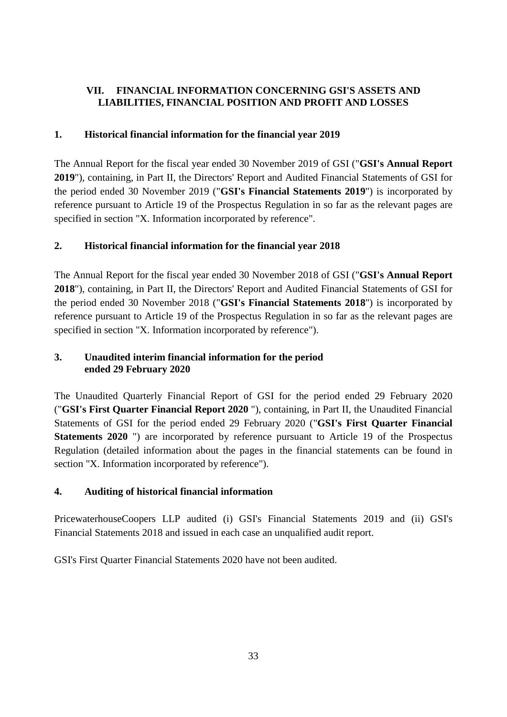# <span id="page-32-0"></span>**VII. FINANCIAL INFORMATION CONCERNING GSI'S ASSETS AND LIABILITIES, FINANCIAL POSITION AND PROFIT AND LOSSES**

# <span id="page-32-1"></span>**1. Historical financial information for the financial year 2019**

The Annual Report for the fiscal year ended 30 November 2019 of GSI ("**GSI's Annual Report 2019**"), containing, in Part II, the Directors' Report and Audited Financial Statements of GSI for the period ended 30 November 2019 ("**GSI's Financial Statements 2019**") is incorporated by reference pursuant to Article 19 of the Prospectus Regulation in so far as the relevant pages are specified in section "X. Information incorporated by reference".

# <span id="page-32-2"></span>**2. Historical financial information for the financial year 2018**

The Annual Report for the fiscal year ended 30 November 2018 of GSI ("**GSI's Annual Report 2018**"), containing, in Part II, the Directors' Report and Audited Financial Statements of GSI for the period ended 30 November 2018 ("**GSI's Financial Statements 2018**") is incorporated by reference pursuant to Article 19 of the Prospectus Regulation in so far as the relevant pages are specified in section "X. Information incorporated by reference").

# <span id="page-32-3"></span>**3. Unaudited interim financial information for the period ended 29 February 2020**

The Unaudited Quarterly Financial Report of GSI for the period ended 29 February 2020 ("**GSI's First Quarter Financial Report 2020** "), containing, in Part II, the Unaudited Financial Statements of GSI for the period ended 29 February 2020 ("**GSI's First Quarter Financial Statements 2020** ") are incorporated by reference pursuant to Article 19 of the Prospectus Regulation (detailed information about the pages in the financial statements can be found in section "X. Information incorporated by reference").

# <span id="page-32-4"></span>**4. Auditing of historical financial information**

PricewaterhouseCoopers LLP audited (i) GSI's Financial Statements 2019 and (ii) GSI's Financial Statements 2018 and issued in each case an unqualified audit report.

GSI's First Quarter Financial Statements 2020 have not been audited.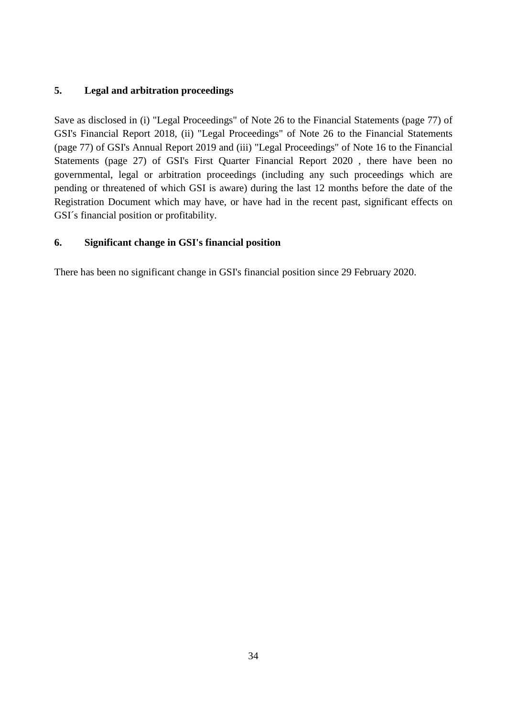# <span id="page-33-0"></span>**5. Legal and arbitration proceedings**

Save as disclosed in (i) "Legal Proceedings" of Note 26 to the Financial Statements (page 77) of GSI's Financial Report 2018, (ii) "Legal Proceedings" of Note 26 to the Financial Statements (page 77) of GSI's Annual Report 2019 and (iii) "Legal Proceedings" of Note 16 to the Financial Statements (page 27) of GSI's First Quarter Financial Report 2020 , there have been no governmental, legal or arbitration proceedings (including any such proceedings which are pending or threatened of which GSI is aware) during the last 12 months before the date of the Registration Document which may have, or have had in the recent past, significant effects on GSI´s financial position or profitability.

# <span id="page-33-1"></span>**6. Significant change in GSI's financial position**

There has been no significant change in GSI's financial position since 29 February 2020.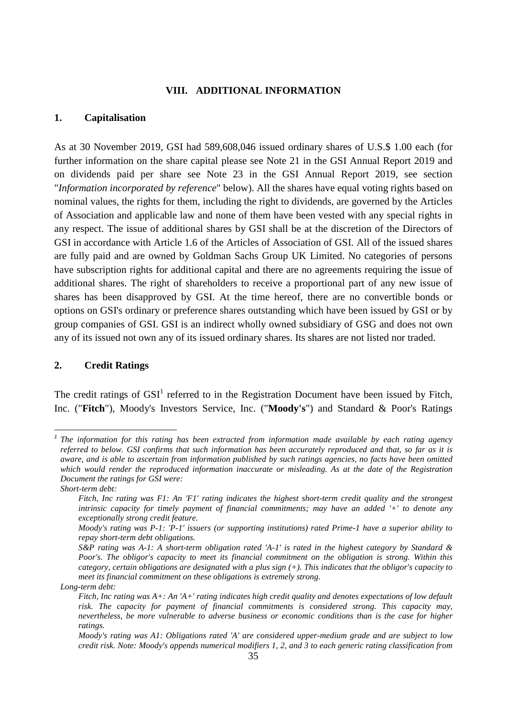#### <span id="page-34-0"></span>**VIII. ADDITIONAL INFORMATION**

#### <span id="page-34-1"></span>**1. Capitalisation**

As at 30 November 2019, GSI had 589,608,046 issued ordinary shares of U.S.\$ 1.00 each (for further information on the share capital please see Note 21 in the GSI Annual Report 2019 and on dividends paid per share see Note 23 in the GSI Annual Report 2019, see section "*Information incorporated by reference*" below). All the shares have equal voting rights based on nominal values, the rights for them, including the right to dividends, are governed by the Articles of Association and applicable law and none of them have been vested with any special rights in any respect. The issue of additional shares by GSI shall be at the discretion of the Directors of GSI in accordance with Article 1.6 of the Articles of Association of GSI. All of the issued shares are fully paid and are owned by Goldman Sachs Group UK Limited. No categories of persons have subscription rights for additional capital and there are no agreements requiring the issue of additional shares. The right of shareholders to receive a proportional part of any new issue of shares has been disapproved by GSI. At the time hereof, there are no convertible bonds or options on GSI's ordinary or preference shares outstanding which have been issued by GSI or by group companies of GSI. GSI is an indirect wholly owned subsidiary of GSG and does not own any of its issued not own any of its issued ordinary shares. Its shares are not listed nor traded.

#### <span id="page-34-2"></span>**2. Credit Ratings**

Thecredit ratings of  $\text{GSI}^1$  referred to in the Registration Document have been issued by Fitch, Inc. ("**Fitch**"), Moody's Investors Service, Inc. ("**Moody's**") and Standard & Poor's Ratings

<span id="page-34-3"></span><sup>&</sup>lt;sup>1</sup> The information for this rating has been extracted from information made available by each rating agency *referred to below. GSI confirms that such information has been accurately reproduced and that, so far as it is aware, and is able to ascertain from information published by such ratings agencies, no facts have been omitted which would render the reproduced information inaccurate or misleading. As at the date of the Registration Document the ratings for GSI were:* 

*Short-term debt:* 

*Fitch, Inc rating was F1: An 'F1' rating indicates the highest short-term credit quality and the strongest intrinsic capacity for timely payment of financial commitments; may have an added '+' to denote any exceptionally strong credit feature.* 

*Moody's rating was P-1: 'P-1' issuers (or supporting institutions) rated Prime-1 have a superior ability to repay short-term debt obligations.* 

*S&P rating was A-1: A short-term obligation rated 'A-1' is rated in the highest category by Standard & Poor's. The obligor's capacity to meet its financial commitment on the obligation is strong. Within this category, certain obligations are designated with a plus sign (+). This indicates that the obligor's capacity to meet its financial commitment on these obligations is extremely strong.* 

*Long-term debt:* 

*Fitch, Inc rating was A+: An 'A+' rating indicates high credit quality and denotes expectations of low default risk. The capacity for payment of financial commitments is considered strong. This capacity may, nevertheless, be more vulnerable to adverse business or economic conditions than is the case for higher ratings.* 

*Moody's rating was A1: Obligations rated 'A' are considered upper-medium grade and are subject to low credit risk. Note: Moody's appends numerical modifiers 1, 2, and 3 to each generic rating classification from*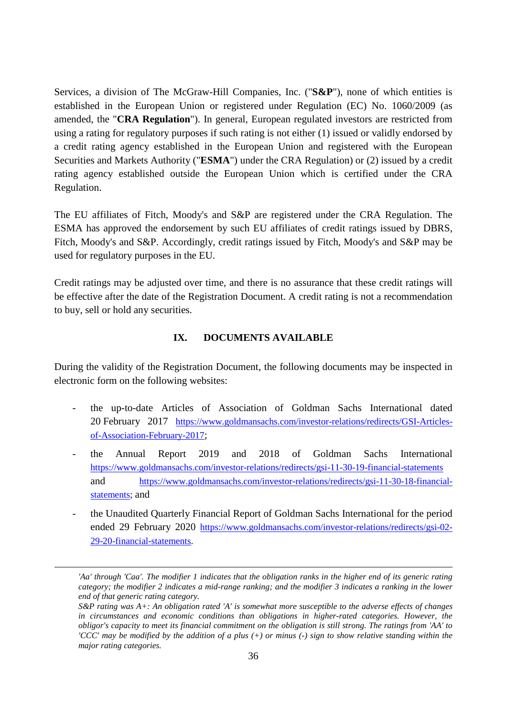Services, a division of The McGraw-Hill Companies, Inc. ("**S&P**"), none of which entities is established in the European Union or registered under Regulation (EC) No. 1060/2009 (as amended, the "**CRA Regulation**"). In general, European regulated investors are restricted from using a rating for regulatory purposes if such rating is not either (1) issued or validly endorsed by a credit rating agency established in the European Union and registered with the European Securities and Markets Authority ("**ESMA**") under the CRA Regulation) or (2) issued by a credit rating agency established outside the European Union which is certified under the CRA Regulation.

The EU affiliates of Fitch, Moody's and S&P are registered under the CRA Regulation. The ESMA has approved the endorsement by such EU affiliates of credit ratings issued by DBRS, Fitch, Moody's and S&P. Accordingly, credit ratings issued by Fitch, Moody's and S&P may be used for regulatory purposes in the EU.

Credit ratings may be adjusted over time, and there is no assurance that these credit ratings will be effective after the date of the Registration Document. A credit rating is not a recommendation to buy, sell or hold any securities.

### <span id="page-35-0"></span>**IX. DOCUMENTS AVAILABLE**

During the validity of the Registration Document, the following documents may be inspected in electronic form on the following websites:

- the up-to-date Articles of Association of Goldman Sachs International dated 20 February 2017 [https://www.goldmansachs.com/investor-relations/redirects/GSI-Articles](https://www.goldmansachs.com/investor-relations/redirects/GSI-Articles-of-Association-February-2017)[of-Association-February-2017](https://www.goldmansachs.com/investor-relations/redirects/GSI-Articles-of-Association-February-2017);
- the Annual Report 2019 and 2018 of Goldman Sachs International <https://www.goldmansachs.com/investor-relations/redirects/gsi-11-30-19-financial-statements> and [https://www.goldmansachs.com/investor-relations/redirects/gsi-11-30-18-financial](https://www.goldmansachs.com/investor-relations/redirects/gsi-11-30-18-financial-statements)[statements;](https://www.goldmansachs.com/investor-relations/redirects/gsi-11-30-18-financial-statements) and
- the Unaudited Quarterly Financial Report of Goldman Sachs International for the period ended 29 February 2020 [https://www.goldmansachs.com/investor-relations/redirects/gsi-02-](https://www.goldmansachs.com/investor-relations/redirects/gsi-02-29-20-financial-statements) [29-20-financial-statements.](https://www.goldmansachs.com/investor-relations/redirects/gsi-02-29-20-financial-statements)

*<sup>&#</sup>x27;Aa' through 'Caa'. The modifier 1 indicates that the obligation ranks in the higher end of its generic rating category; the modifier 2 indicates a mid-range ranking; and the modifier 3 indicates a ranking in the lower end of that generic rating category.* 

*S&P rating was A+: An obligation rated 'A' is somewhat more susceptible to the adverse effects of changes in circumstances and economic conditions than obligations in higher-rated categories. However, the obligor's capacity to meet its financial commitment on the obligation is still strong. The ratings from 'AA' to 'CCC' may be modified by the addition of a plus (+) or minus (-) sign to show relative standing within the major rating categories.*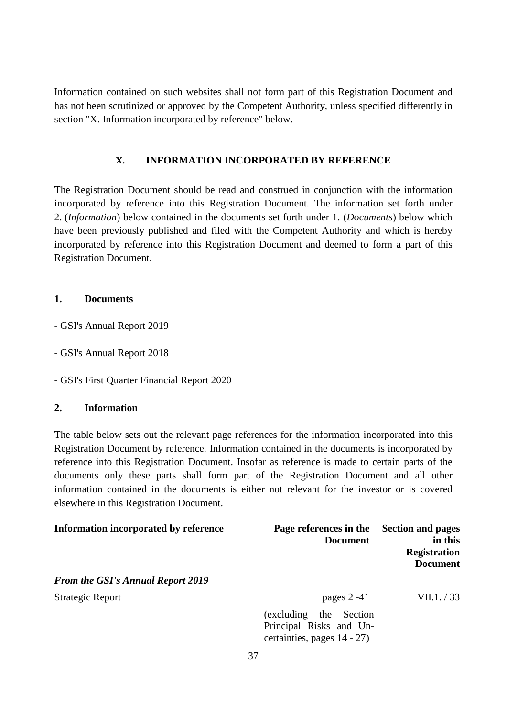Information contained on such websites shall not form part of this Registration Document and has not been scrutinized or approved by the Competent Authority, unless specified differently in section "X. Information incorporated by reference" below.

## <span id="page-36-0"></span>**X. INFORMATION INCORPORATED BY REFERENCE**

The Registration Document should be read and construed in conjunction with the information incorporated by reference into this Registration Document. The information set forth under 2. (*Information*) below contained in the documents set forth under 1. (*Documents*) below which have been previously published and filed with the Competent Authority and which is hereby incorporated by reference into this Registration Document and deemed to form a part of this Registration Document.

### <span id="page-36-1"></span>**1. Documents**

- GSI's Annual Report 2019
- GSI's Annual Report 2018
- GSI's First Quarter Financial Report 2020

### <span id="page-36-2"></span>**2. Information**

The table below sets out the relevant page references for the information incorporated into this Registration Document by reference. Information contained in the documents is incorporated by reference into this Registration Document. Insofar as reference is made to certain parts of the documents only these parts shall form part of the Registration Document and all other information contained in the documents is either not relevant for the investor or is covered elsewhere in this Registration Document.

| Information incorporated by reference    | Page references in the<br><b>Document</b>                                            | <b>Section and pages</b><br>in this<br><b>Registration</b><br><b>Document</b> |
|------------------------------------------|--------------------------------------------------------------------------------------|-------------------------------------------------------------------------------|
| <b>From the GSI's Annual Report 2019</b> |                                                                                      |                                                                               |
| <b>Strategic Report</b>                  | pages $2 - 41$                                                                       | VII.1. / 33                                                                   |
|                                          | (excluding)<br>the Section<br>Principal Risks and Un-<br>certainties, pages 14 - 27) |                                                                               |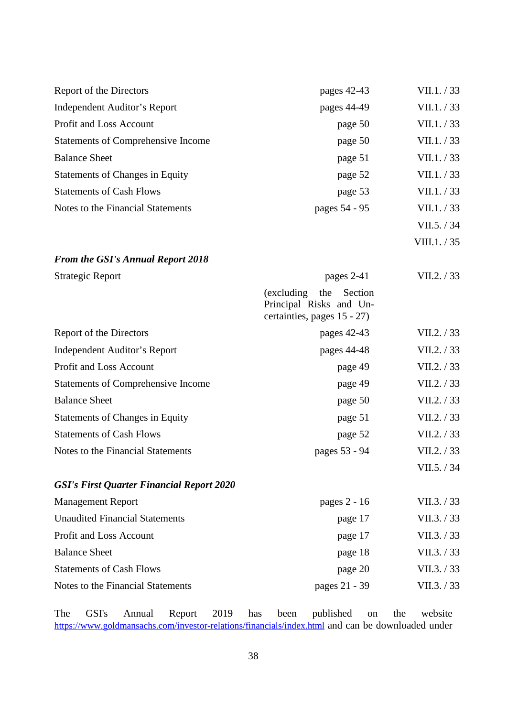| Report of the Directors                          | pages 42-43                                                                             | VII.1. / 33  |
|--------------------------------------------------|-----------------------------------------------------------------------------------------|--------------|
| <b>Independent Auditor's Report</b>              | pages 44-49                                                                             | VII.1. / 33  |
| Profit and Loss Account                          | page 50                                                                                 | VII.1. / 33  |
| <b>Statements of Comprehensive Income</b>        | page 50                                                                                 | VII.1. / 33  |
| <b>Balance Sheet</b>                             | page 51                                                                                 | VII.1. / 33  |
| <b>Statements of Changes in Equity</b>           | page 52                                                                                 | VII.1. / 33  |
| <b>Statements of Cash Flows</b>                  | page 53                                                                                 | VII.1. / 33  |
| Notes to the Financial Statements                | pages 54 - 95                                                                           | VII.1. / 33  |
|                                                  |                                                                                         | VII.5. / 34  |
|                                                  |                                                                                         | VIII.1. / 35 |
| <b>From the GSI's Annual Report 2018</b>         |                                                                                         |              |
| <b>Strategic Report</b>                          | pages 2-41                                                                              | VII.2. / 33  |
|                                                  | (excluding)<br>the<br>Section<br>Principal Risks and Un-<br>certainties, pages 15 - 27) |              |
| Report of the Directors                          | pages 42-43                                                                             | VII.2. / 33  |
| <b>Independent Auditor's Report</b>              | pages 44-48                                                                             | VII.2. / 33  |
| Profit and Loss Account                          | page 49                                                                                 | VII.2. / 33  |
| <b>Statements of Comprehensive Income</b>        | page 49                                                                                 | VII.2. / 33  |
| <b>Balance Sheet</b>                             | page 50                                                                                 | VII.2. / 33  |
| <b>Statements of Changes in Equity</b>           | page 51                                                                                 | VII.2. / 33  |
| <b>Statements of Cash Flows</b>                  | page 52                                                                                 | VII.2. / 33  |
| Notes to the Financial Statements                | pages 53 - 94                                                                           | VII.2. / 33  |
|                                                  |                                                                                         | VII.5. / 34  |
| <b>GSI's First Quarter Financial Report 2020</b> |                                                                                         |              |
| <b>Management Report</b>                         | pages 2 - 16                                                                            | VII.3. / 33  |
| <b>Unaudited Financial Statements</b>            | page 17                                                                                 | VII.3. / 33  |
| Profit and Loss Account                          | page 17                                                                                 | VII.3. / 33  |
| <b>Balance Sheet</b>                             | page 18                                                                                 | VII.3. / 33  |
| <b>Statements of Cash Flows</b>                  | page 20                                                                                 | VII.3. / 33  |
| Notes to the Financial Statements                | pages 21 - 39                                                                           | VII.3. / 33  |

The GSI's Annual Report 2019 has been published on the website <https://www.goldmansachs.com/investor-relations/financials/index.html> and can be downloaded under